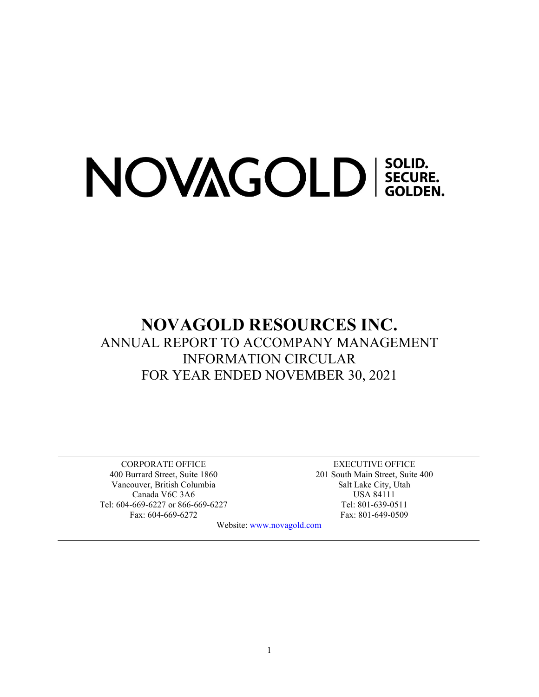# NOVAGOLD SECURE.

# **NOVAGOLD RESOURCES INC.** ANNUAL REPORT TO ACCOMPANY MANAGEMENT INFORMATION CIRCULAR FOR YEAR ENDED NOVEMBER 30, 2021

CORPORATE OFFICE 400 Burrard Street, Suite 1860 Vancouver, British Columbia Canada V6C 3A6 Tel: 604-669-6227 or 866-669-6227 Fax: 604-669-6272

EXECUTIVE OFFICE 201 South Main Street, Suite 400 Salt Lake City, Utah USA 84111 Tel: 801-639-0511 Fax: 801-649-0509

Website: [www.novagold.com](http://www.novagold.com/)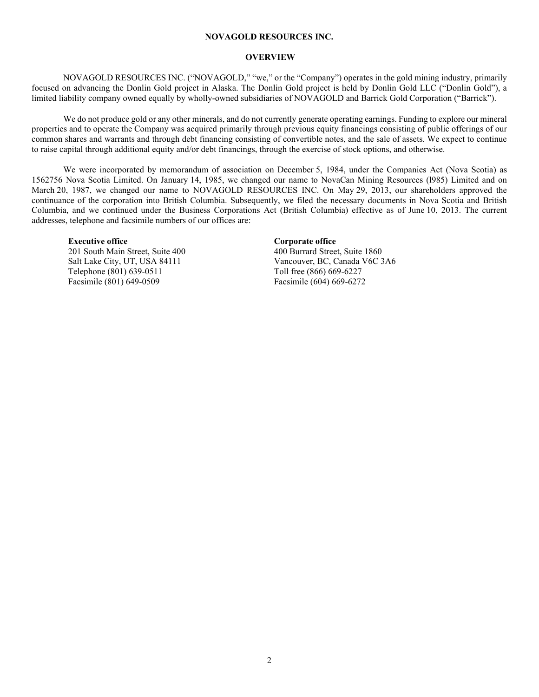#### **OVERVIEW**

NOVAGOLD RESOURCES INC. ("NOVAGOLD," "we," or the "Company") operates in the gold mining industry, primarily focused on advancing the Donlin Gold project in Alaska. The Donlin Gold project is held by Donlin Gold LLC ("Donlin Gold"), a limited liability company owned equally by wholly-owned subsidiaries of NOVAGOLD and Barrick Gold Corporation ("Barrick").

We do not produce gold or any other minerals, and do not currently generate operating earnings. Funding to explore our mineral properties and to operate the Company was acquired primarily through previous equity financings consisting of public offerings of our common shares and warrants and through debt financing consisting of convertible notes, and the sale of assets. We expect to continue to raise capital through additional equity and/or debt financings, through the exercise of stock options, and otherwise.

We were incorporated by memorandum of association on December 5, 1984, under the Companies Act (Nova Scotia) as 1562756 Nova Scotia Limited. On January 14, 1985, we changed our name to NovaCan Mining Resources (l985) Limited and on March 20, 1987, we changed our name to NOVAGOLD RESOURCES INC. On May 29, 2013, our shareholders approved the continuance of the corporation into British Columbia. Subsequently, we filed the necessary documents in Nova Scotia and British Columbia, and we continued under the Business Corporations Act (British Columbia) effective as of June 10, 2013. The current addresses, telephone and facsimile numbers of our offices are:

#### **Executive office Corporate office**

201 South Main Street, Suite 400<br>
201 South Main Street, Suite 1860<br>
201 South Main Street, UT, USA 84111<br>
201 Vancouver, BC, Canada V6C 3A6 Salt Lake City, UT, USA 84111 Telephone (801) 639-0511 Toll free (866) 669-6227 Facsimile (801) 649-0509 Facsimile (604) 669-6272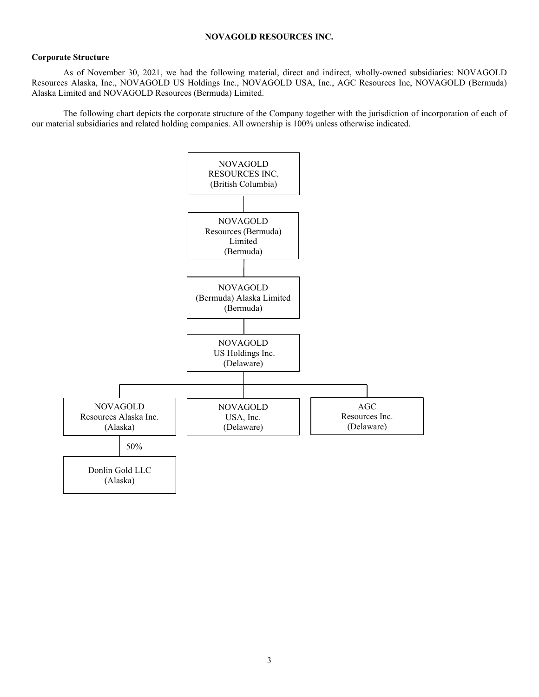#### **Corporate Structure**

As of November 30, 2021, we had the following material, direct and indirect, wholly-owned subsidiaries: NOVAGOLD Resources Alaska, Inc., NOVAGOLD US Holdings Inc., NOVAGOLD USA, Inc., AGC Resources Inc, NOVAGOLD (Bermuda) Alaska Limited and NOVAGOLD Resources (Bermuda) Limited.

The following chart depicts the corporate structure of the Company together with the jurisdiction of incorporation of each of our material subsidiaries and related holding companies. All ownership is 100% unless otherwise indicated.

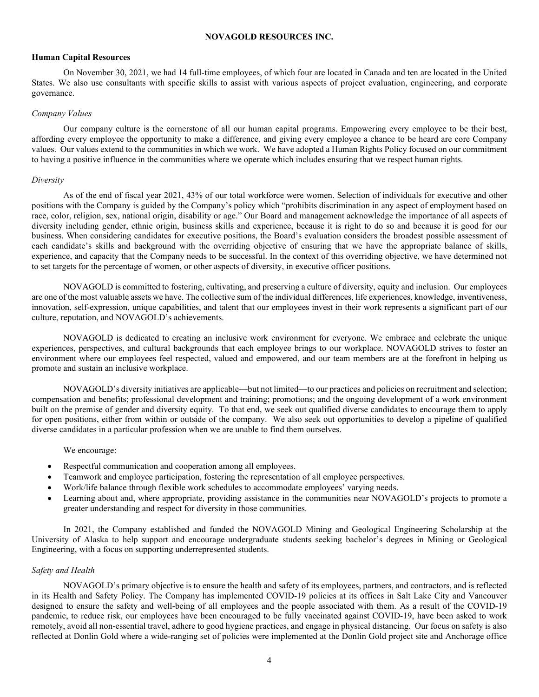#### **Human Capital Resources**

On November 30, 2021, we had 14 full-time employees, of which four are located in Canada and ten are located in the United States. We also use consultants with specific skills to assist with various aspects of project evaluation, engineering, and corporate governance.

#### *Company Values*

Our company culture is the cornerstone of all our human capital programs. Empowering every employee to be their best, affording every employee the opportunity to make a difference, and giving every employee a chance to be heard are core Company values. Our values extend to the communities in which we work. We have adopted a Human Rights Policy focused on our commitment to having a positive influence in the communities where we operate which includes ensuring that we respect human rights.

#### *Diversity*

As of the end of fiscal year 2021, 43% of our total workforce were women. Selection of individuals for executive and other positions with the Company is guided by the Company's policy which "prohibits discrimination in any aspect of employment based on race, color, religion, sex, national origin, disability or age." Our Board and management acknowledge the importance of all aspects of diversity including gender, ethnic origin, business skills and experience, because it is right to do so and because it is good for our business. When considering candidates for executive positions, the Board's evaluation considers the broadest possible assessment of each candidate's skills and background with the overriding objective of ensuring that we have the appropriate balance of skills, experience, and capacity that the Company needs to be successful. In the context of this overriding objective, we have determined not to set targets for the percentage of women, or other aspects of diversity, in executive officer positions.

NOVAGOLD is committed to fostering, cultivating, and preserving a culture of diversity, equity and inclusion. Our employees are one of the most valuable assets we have. The collective sum of the individual differences, life experiences, knowledge, inventiveness, innovation, self-expression, unique capabilities, and talent that our employees invest in their work represents a significant part of our culture, reputation, and NOVAGOLD's achievements.

NOVAGOLD is dedicated to creating an inclusive work environment for everyone. We embrace and celebrate the unique experiences, perspectives, and cultural backgrounds that each employee brings to our workplace. NOVAGOLD strives to foster an environment where our employees feel respected, valued and empowered, and our team members are at the forefront in helping us promote and sustain an inclusive workplace.

NOVAGOLD's diversity initiatives are applicable—but not limited—to our practices and policies on recruitment and selection; compensation and benefits; professional development and training; promotions; and the ongoing development of a work environment built on the premise of gender and diversity equity. To that end, we seek out qualified diverse candidates to encourage them to apply for open positions, either from within or outside of the company. We also seek out opportunities to develop a pipeline of qualified diverse candidates in a particular profession when we are unable to find them ourselves.

#### We encourage:

- Respectful communication and cooperation among all employees.
- Teamwork and employee participation, fostering the representation of all employee perspectives.
- Work/life balance through flexible work schedules to accommodate employees' varying needs.
- Learning about and, where appropriate, providing assistance in the communities near NOVAGOLD's projects to promote a greater understanding and respect for diversity in those communities.

In 2021, the Company established and funded the NOVAGOLD Mining and Geological Engineering Scholarship at the University of Alaska to help support and encourage undergraduate students seeking bachelor's degrees in Mining or Geological Engineering, with a focus on supporting underrepresented students.

#### *Safety and Health*

NOVAGOLD's primary objective is to ensure the health and safety of its employees, partners, and contractors, and is reflected in its Health and Safety Policy. The Company has implemented COVID-19 policies at its offices in Salt Lake City and Vancouver designed to ensure the safety and well-being of all employees and the people associated with them. As a result of the COVID-19 pandemic, to reduce risk, our employees have been encouraged to be fully vaccinated against COVID-19, have been asked to work remotely, avoid all non-essential travel, adhere to good hygiene practices, and engage in physical distancing. Our focus on safety is also reflected at Donlin Gold where a wide-ranging set of policies were implemented at the Donlin Gold project site and Anchorage office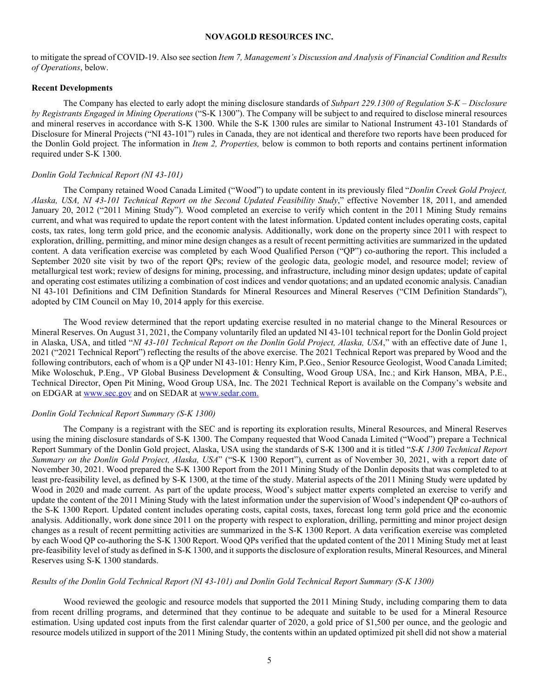to mitigate the spread of COVID-19. Also see section *Item 7, Management's Discussion and Analysis of Financial Condition and Results of Operations*, below.

#### **Recent Developments**

The Company has elected to early adopt the mining disclosure standards of *Subpart 229.1300 of Regulation S-K – Disclosure by Registrants Engaged in Mining Operations* ("S-K 1300"). The Company will be subject to and required to disclose mineral resources and mineral reserves in accordance with S-K 1300. While the S-K 1300 rules are similar to National Instrument 43-101 Standards of Disclosure for Mineral Projects ("NI 43-101") rules in Canada, they are not identical and therefore two reports have been produced for the Donlin Gold project. The information in *Item 2, Properties,* below is common to both reports and contains pertinent information required under S-K 1300.

#### *Donlin Gold Technical Report (NI 43-101)*

The Company retained Wood Canada Limited ("Wood") to update content in its previously filed "*Donlin Creek Gold Project, Alaska, USA, NI 43-101 Technical Report on the Second Updated Feasibility Study*," effective November 18, 2011, and amended January 20, 2012 ("2011 Mining Study"). Wood completed an exercise to verify which content in the 2011 Mining Study remains current, and what was required to update the report content with the latest information. Updated content includes operating costs, capital costs, tax rates, long term gold price, and the economic analysis. Additionally, work done on the property since 2011 with respect to exploration, drilling, permitting, and minor mine design changes as a result of recent permitting activities are summarized in the updated content. A data verification exercise was completed by each Wood Qualified Person ("QP") co-authoring the report. This included a September 2020 site visit by two of the report QPs; review of the geologic data, geologic model, and resource model; review of metallurgical test work; review of designs for mining, processing, and infrastructure, including minor design updates; update of capital and operating cost estimates utilizing a combination of cost indices and vendor quotations; and an updated economic analysis. Canadian NI 43-101 Definitions and CIM Definition Standards for Mineral Resources and Mineral Reserves ("CIM Definition Standards"), adopted by CIM Council on May 10, 2014 apply for this exercise.

The Wood review determined that the report updating exercise resulted in no material change to the Mineral Resources or Mineral Reserves. On August 31, 2021, the Company voluntarily filed an updated NI 43-101 technical report for the Donlin Gold project in Alaska, USA, and titled "*NI 43-101 Technical Report on the Donlin Gold Project, Alaska, USA*," with an effective date of June 1, 2021 ("2021 Technical Report") reflecting the results of the above exercise. The 2021 Technical Report was prepared by Wood and the following contributors, each of whom is a QP under NI 43-101: Henry Kim, P.Geo., Senior Resource Geologist, Wood Canada Limited; Mike Woloschuk, P.Eng., VP Global Business Development & Consulting, Wood Group USA, Inc.; and Kirk Hanson, MBA, P.E., Technical Director, Open Pit Mining, Wood Group USA, Inc. The 2021 Technical Report is available on the Company's website and on EDGAR at [www.sec.gov](http://www.sec.gov/) and on SEDAR a[t www.sedar.com.](file://novadc01/Share/10K/2019/Drafts/www.sedar.com)

#### *Donlin Gold Technical Report Summary (S-K 1300)*

The Company is a registrant with the SEC and is reporting its exploration results, Mineral Resources, and Mineral Reserves using the mining disclosure standards of S-K 1300. The Company requested that Wood Canada Limited ("Wood") prepare a Technical Report Summary of the Donlin Gold project, Alaska, USA using the standards of S-K 1300 and it is titled "*S-K 1300 Technical Report Summary on the Donlin Gold Project, Alaska, USA*" ("S-K 1300 Report"), current as of November 30, 2021, with a report date of November 30, 2021. Wood prepared the S-K 1300 Report from the 2011 Mining Study of the Donlin deposits that was completed to at least pre-feasibility level, as defined by S-K 1300, at the time of the study. Material aspects of the 2011 Mining Study were updated by Wood in 2020 and made current. As part of the update process, Wood's subject matter experts completed an exercise to verify and update the content of the 2011 Mining Study with the latest information under the supervision of Wood's independent QP co-authors of the S-K 1300 Report. Updated content includes operating costs, capital costs, taxes, forecast long term gold price and the economic analysis. Additionally, work done since 2011 on the property with respect to exploration, drilling, permitting and minor project design changes as a result of recent permitting activities are summarized in the S-K 1300 Report. A data verification exercise was completed by each Wood QP co-authoring the S-K 1300 Report. Wood QPs verified that the updated content of the 2011 Mining Study met at least pre-feasibility level of study as defined in S-K 1300, and it supports the disclosure of exploration results, Mineral Resources, and Mineral Reserves using S-K 1300 standards.

#### *Results of the Donlin Gold Technical Report (NI 43-101) and Donlin Gold Technical Report Summary (S-K 1300)*

Wood reviewed the geologic and resource models that supported the 2011 Mining Study, including comparing them to data from recent drilling programs, and determined that they continue to be adequate and suitable to be used for a Mineral Resource estimation. Using updated cost inputs from the first calendar quarter of 2020, a gold price of \$1,500 per ounce, and the geologic and resource models utilized in support of the 2011 Mining Study, the contents within an updated optimized pit shell did not show a material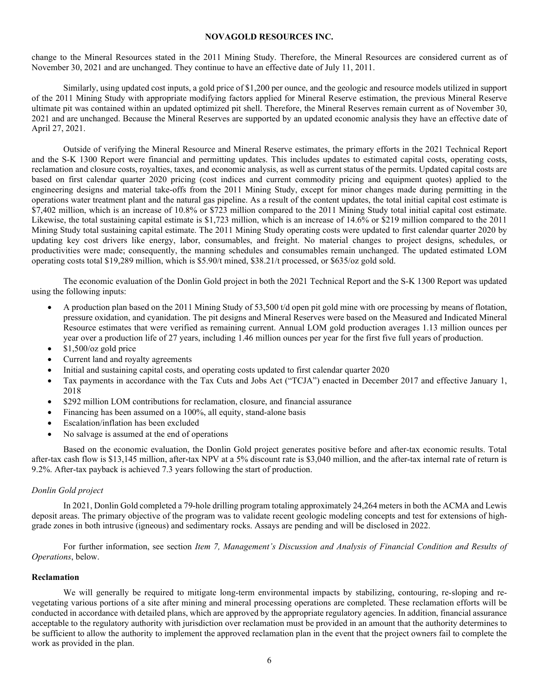change to the Mineral Resources stated in the 2011 Mining Study. Therefore, the Mineral Resources are considered current as of November 30, 2021 and are unchanged. They continue to have an effective date of July 11, 2011.

Similarly, using updated cost inputs, a gold price of \$1,200 per ounce, and the geologic and resource models utilized in support of the 2011 Mining Study with appropriate modifying factors applied for Mineral Reserve estimation, the previous Mineral Reserve ultimate pit was contained within an updated optimized pit shell. Therefore, the Mineral Reserves remain current as of November 30, 2021 and are unchanged. Because the Mineral Reserves are supported by an updated economic analysis they have an effective date of April 27, 2021.

Outside of verifying the Mineral Resource and Mineral Reserve estimates, the primary efforts in the 2021 Technical Report and the S-K 1300 Report were financial and permitting updates. This includes updates to estimated capital costs, operating costs, reclamation and closure costs, royalties, taxes, and economic analysis, as well as current status of the permits. Updated capital costs are based on first calendar quarter 2020 pricing (cost indices and current commodity pricing and equipment quotes) applied to the engineering designs and material take-offs from the 2011 Mining Study, except for minor changes made during permitting in the operations water treatment plant and the natural gas pipeline. As a result of the content updates, the total initial capital cost estimate is \$7,402 million, which is an increase of 10.8% or \$723 million compared to the 2011 Mining Study total initial capital cost estimate. Likewise, the total sustaining capital estimate is \$1,723 million, which is an increase of 14.6% or \$219 million compared to the 2011 Mining Study total sustaining capital estimate. The 2011 Mining Study operating costs were updated to first calendar quarter 2020 by updating key cost drivers like energy, labor, consumables, and freight. No material changes to project designs, schedules, or productivities were made; consequently, the manning schedules and consumables remain unchanged. The updated estimated LOM operating costs total \$19,289 million, which is \$5.90/t mined, \$38.21/t processed, or \$635/oz gold sold.

The economic evaluation of the Donlin Gold project in both the 2021 Technical Report and the S-K 1300 Report was updated using the following inputs:

- A production plan based on the 2011 Mining Study of 53,500 t/d open pit gold mine with ore processing by means of flotation, pressure oxidation, and cyanidation. The pit designs and Mineral Reserves were based on the Measured and Indicated Mineral Resource estimates that were verified as remaining current. Annual LOM gold production averages 1.13 million ounces per year over a production life of 27 years, including 1.46 million ounces per year for the first five full years of production.
- \$1,500/oz gold price
- Current land and royalty agreements
- Initial and sustaining capital costs, and operating costs updated to first calendar quarter 2020
- Tax payments in accordance with the Tax Cuts and Jobs Act ("TCJA") enacted in December 2017 and effective January 1, 2018
- \$292 million LOM contributions for reclamation, closure, and financial assurance
- Financing has been assumed on a 100%, all equity, stand-alone basis
- Escalation/inflation has been excluded
- No salvage is assumed at the end of operations

Based on the economic evaluation, the Donlin Gold project generates positive before and after-tax economic results. Total after-tax cash flow is \$13,145 million, after-tax NPV at a 5% discount rate is \$3,040 million, and the after-tax internal rate of return is 9.2%. After-tax payback is achieved 7.3 years following the start of production.

#### *Donlin Gold project*

In 2021, Donlin Gold completed a 79-hole drilling program totaling approximately 24,264 meters in both the ACMA and Lewis deposit areas. The primary objective of the program was to validate recent geologic modeling concepts and test for extensions of highgrade zones in both intrusive (igneous) and sedimentary rocks. Assays are pending and will be disclosed in 2022.

For further information, see section *Item 7, Management's Discussion and Analysis of Financial Condition and Results of Operations*, below.

#### **Reclamation**

We will generally be required to mitigate long-term environmental impacts by stabilizing, contouring, re-sloping and revegetating various portions of a site after mining and mineral processing operations are completed. These reclamation efforts will be conducted in accordance with detailed plans, which are approved by the appropriate regulatory agencies. In addition, financial assurance acceptable to the regulatory authority with jurisdiction over reclamation must be provided in an amount that the authority determines to be sufficient to allow the authority to implement the approved reclamation plan in the event that the project owners fail to complete the work as provided in the plan.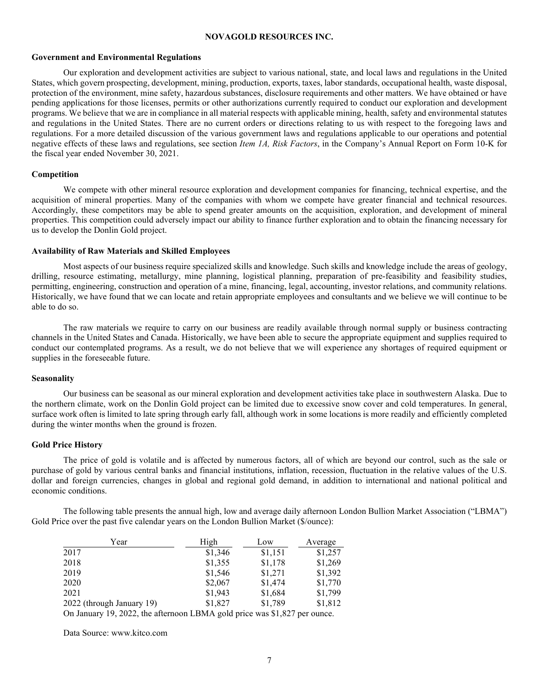#### **Government and Environmental Regulations**

Our exploration and development activities are subject to various national, state, and local laws and regulations in the United States, which govern prospecting, development, mining, production, exports, taxes, labor standards, occupational health, waste disposal, protection of the environment, mine safety, hazardous substances, disclosure requirements and other matters. We have obtained or have pending applications for those licenses, permits or other authorizations currently required to conduct our exploration and development programs. We believe that we are in compliance in all material respects with applicable mining, health, safety and environmental statutes and regulations in the United States. There are no current orders or directions relating to us with respect to the foregoing laws and regulations. For a more detailed discussion of the various government laws and regulations applicable to our operations and potential negative effects of these laws and regulations, see section *Item 1A, Risk Factors*, in the Company's Annual Report on Form 10-K for the fiscal year ended November 30, 2021.

#### **Competition**

We compete with other mineral resource exploration and development companies for financing, technical expertise, and the acquisition of mineral properties. Many of the companies with whom we compete have greater financial and technical resources. Accordingly, these competitors may be able to spend greater amounts on the acquisition, exploration, and development of mineral properties. This competition could adversely impact our ability to finance further exploration and to obtain the financing necessary for us to develop the Donlin Gold project.

#### **Availability of Raw Materials and Skilled Employees**

Most aspects of our business require specialized skills and knowledge. Such skills and knowledge include the areas of geology, drilling, resource estimating, metallurgy, mine planning, logistical planning, preparation of pre-feasibility and feasibility studies, permitting, engineering, construction and operation of a mine, financing, legal, accounting, investor relations, and community relations. Historically, we have found that we can locate and retain appropriate employees and consultants and we believe we will continue to be able to do so.

The raw materials we require to carry on our business are readily available through normal supply or business contracting channels in the United States and Canada. Historically, we have been able to secure the appropriate equipment and supplies required to conduct our contemplated programs. As a result, we do not believe that we will experience any shortages of required equipment or supplies in the foreseeable future.

#### **Seasonality**

Our business can be seasonal as our mineral exploration and development activities take place in southwestern Alaska. Due to the northern climate, work on the Donlin Gold project can be limited due to excessive snow cover and cold temperatures. In general, surface work often is limited to late spring through early fall, although work in some locations is more readily and efficiently completed during the winter months when the ground is frozen.

#### **Gold Price History**

The price of gold is volatile and is affected by numerous factors, all of which are beyond our control, such as the sale or purchase of gold by various central banks and financial institutions, inflation, recession, fluctuation in the relative values of the U.S. dollar and foreign currencies, changes in global and regional gold demand, in addition to international and national political and economic conditions.

The following table presents the annual high, low and average daily afternoon London Bullion Market Association ("LBMA") Gold Price over the past five calendar years on the London Bullion Market (\$/ounce):

| Year                               | High       | Low     | Average |
|------------------------------------|------------|---------|---------|
| 2017                               | \$1,346    | \$1,151 | \$1,257 |
| 2018                               | \$1,355    | \$1,178 | \$1,269 |
| 2019                               | \$1,546    | \$1,271 | \$1,392 |
| 2020                               | \$2,067    | \$1,474 | \$1,770 |
| 2021                               | \$1,943    | \$1,684 | \$1,799 |
| 2022 (through January 19)          | \$1,827    | \$1,789 | \$1,812 |
| 10.0001<br>$\sim$<br>$\sim$ $\sim$ | $T \cap Y$ | 01027   |         |

On January 19, 2022, the afternoon LBMA gold price was \$1,827 per ounce.

Data Source: www.kitco.com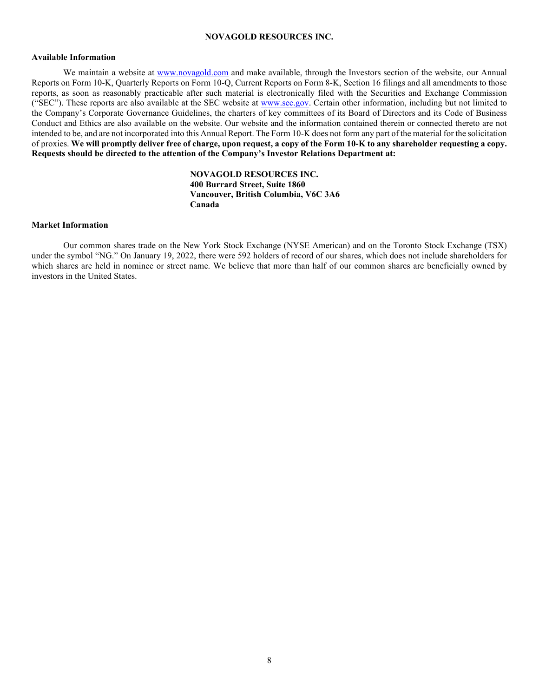#### **Available Information**

We maintain a website at [www.novagold.com](file://novadc01/Share/10K/2019/Drafts/www.novagold.com) and make available, through the Investors section of the website, our Annual Reports on Form 10-K, Quarterly Reports on Form 10-Q, Current Reports on Form 8-K, Section 16 filings and all amendments to those reports, as soon as reasonably practicable after such material is electronically filed with the Securities and Exchange Commission ("SEC"). These reports are also available at the SEC website at [www.sec.gov.](http://www.sec.gov/) Certain other information, including but not limited to the Company's Corporate Governance Guidelines, the charters of key committees of its Board of Directors and its Code of Business Conduct and Ethics are also available on the website. Our website and the information contained therein or connected thereto are not intended to be, and are not incorporated into this Annual Report. The Form 10-K does not form any part of the material for the solicitation of proxies. **We will promptly deliver free of charge, upon request, a copy of the Form 10-K to any shareholder requesting a copy. Requests should be directed to the attention of the Company's Investor Relations Department at:**

> **NOVAGOLD RESOURCES INC. 400 Burrard Street, Suite 1860 Vancouver, British Columbia, V6C 3A6 Canada**

#### **Market Information**

Our common shares trade on the New York Stock Exchange (NYSE American) and on the Toronto Stock Exchange (TSX) under the symbol "NG." On January 19, 2022, there were 592 holders of record of our shares, which does not include shareholders for which shares are held in nominee or street name. We believe that more than half of our common shares are beneficially owned by investors in the United States.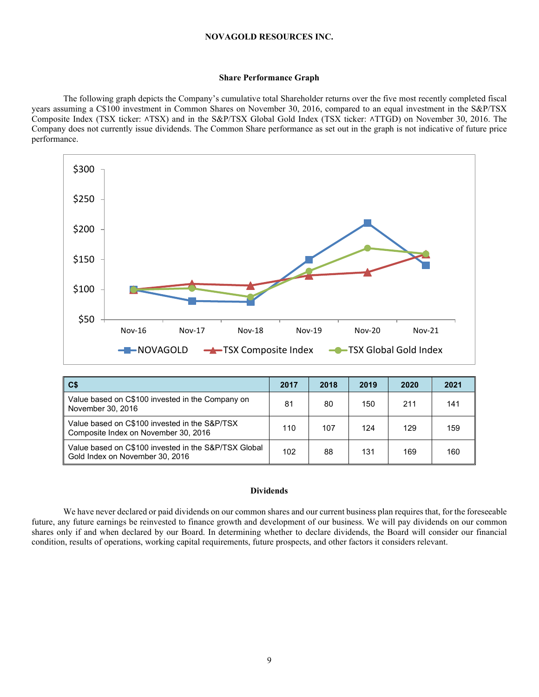#### **Share Performance Graph**

The following graph depicts the Company's cumulative total Shareholder returns over the five most recently completed fiscal years assuming a C\$100 investment in Common Shares on November 30, 2016, compared to an equal investment in the S&P/TSX Composite Index (TSX ticker:  $\land$ TSX) and in the S&P/TSX Global Gold Index (TSX ticker:  $\land$ TTGD) on November 30, 2016. The Company does not currently issue dividends. The Common Share performance as set out in the graph is not indicative of future price performance.



| C <sub>3</sub>                                                                          | 2017 | 2018 | 2019 | 2020 | 2021 |
|-----------------------------------------------------------------------------------------|------|------|------|------|------|
| Value based on C\$100 invested in the Company on<br>November 30, 2016                   | 81   | 80   | 150  | 211  | 141  |
| Value based on C\$100 invested in the S&P/TSX<br>Composite Index on November 30, 2016   | 110  | 107  | 124  | 129  | 159  |
| Value based on C\$100 invested in the S&P/TSX Global<br>Gold Index on November 30, 2016 | 102  | 88   | 131  | 169  | 160  |

#### **Dividends**

We have never declared or paid dividends on our common shares and our current business plan requires that, for the foreseeable future, any future earnings be reinvested to finance growth and development of our business. We will pay dividends on our common shares only if and when declared by our Board. In determining whether to declare dividends, the Board will consider our financial condition, results of operations, working capital requirements, future prospects, and other factors it considers relevant.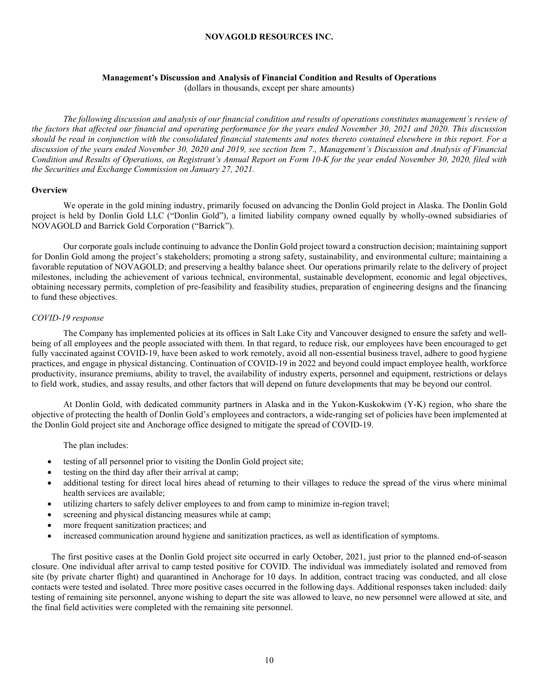#### **Management's Discussion and Analysis of Financial Condition and Results of Operations**

(dollars in thousands, except per share amounts)

*The following discussion and analysis of our financial condition and results of operations constitutes management's review of the factors that affected our financial and operating performance for the years ended November 30, 2021 and 2020. This discussion should be read in conjunction with the consolidated financial statements and notes thereto contained elsewhere in this report. For a discussion of the years ended November 30, 2020 and 2019, see section Item 7., Management's Discussion and Analysis of Financial Condition and Results of Operations, on Registrant's Annual Report on Form 10-K for the year ended November 30, 2020, filed with the Securities and Exchange Commission on January 27, 2021.*

#### **Overview**

We operate in the gold mining industry, primarily focused on advancing the Donlin Gold project in Alaska. The Donlin Gold project is held by Donlin Gold LLC ("Donlin Gold"), a limited liability company owned equally by wholly-owned subsidiaries of NOVAGOLD and Barrick Gold Corporation ("Barrick").

Our corporate goals include continuing to advance the Donlin Gold project toward a construction decision; maintaining support for Donlin Gold among the project's stakeholders; promoting a strong safety, sustainability, and environmental culture; maintaining a favorable reputation of NOVAGOLD; and preserving a healthy balance sheet. Our operations primarily relate to the delivery of project milestones, including the achievement of various technical, environmental, sustainable development, economic and legal objectives, obtaining necessary permits, completion of pre-feasibility and feasibility studies, preparation of engineering designs and the financing to fund these objectives.

#### *COVID-19 response*

The Company has implemented policies at its offices in Salt Lake City and Vancouver designed to ensure the safety and wellbeing of all employees and the people associated with them. In that regard, to reduce risk, our employees have been encouraged to get fully vaccinated against COVID-19, have been asked to work remotely, avoid all non-essential business travel, adhere to good hygiene practices, and engage in physical distancing. Continuation of COVID-19 in 2022 and beyond could impact employee health, workforce productivity, insurance premiums, ability to travel, the availability of industry experts, personnel and equipment, restrictions or delays to field work, studies, and assay results, and other factors that will depend on future developments that may be beyond our control.

At Donlin Gold, with dedicated community partners in Alaska and in the Yukon-Kuskokwim (Y-K) region, who share the objective of protecting the health of Donlin Gold's employees and contractors, a wide-ranging set of policies have been implemented at the Donlin Gold project site and Anchorage office designed to mitigate the spread of COVID-19.

The plan includes:

- testing of all personnel prior to visiting the Donlin Gold project site;
- testing on the third day after their arrival at camp;
- additional testing for direct local hires ahead of returning to their villages to reduce the spread of the virus where minimal health services are available;
- utilizing charters to safely deliver employees to and from camp to minimize in-region travel;
- screening and physical distancing measures while at camp;
- more frequent sanitization practices; and
- increased communication around hygiene and sanitization practices, as well as identification of symptoms.

The first positive cases at the Donlin Gold project site occurred in early October, 2021, just prior to the planned end-of-season closure. One individual after arrival to camp tested positive for COVID. The individual was immediately isolated and removed from site (by private charter flight) and quarantined in Anchorage for 10 days. In addition, contract tracing was conducted, and all close contacts were tested and isolated. Three more positive cases occurred in the following days. Additional responses taken included: daily testing of remaining site personnel, anyone wishing to depart the site was allowed to leave, no new personnel were allowed at site, and the final field activities were completed with the remaining site personnel.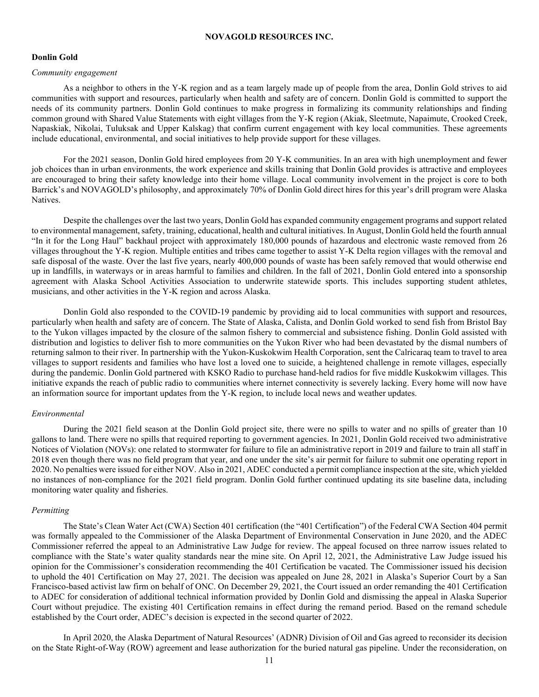#### **Donlin Gold**

#### *Community engagement*

As a neighbor to others in the Y-K region and as a team largely made up of people from the area, Donlin Gold strives to aid communities with support and resources, particularly when health and safety are of concern. Donlin Gold is committed to support the needs of its community partners. Donlin Gold continues to make progress in formalizing its community relationships and finding common ground with Shared Value Statements with eight villages from the Y-K region (Akiak, Sleetmute, Napaimute, Crooked Creek, Napaskiak, Nikolai, Tuluksak and Upper Kalskag) that confirm current engagement with key local communities. These agreements include educational, environmental, and social initiatives to help provide support for these villages.

For the 2021 season, Donlin Gold hired employees from 20 Y-K communities. In an area with high unemployment and fewer job choices than in urban environments, the work experience and skills training that Donlin Gold provides is attractive and employees are encouraged to bring their safety knowledge into their home village. Local community involvement in the project is core to both Barrick's and NOVAGOLD's philosophy, and approximately 70% of Donlin Gold direct hires for this year's drill program were Alaska Natives.

Despite the challenges over the last two years, Donlin Gold has expanded community engagement programs and support related to environmental management, safety, training, educational, health and cultural initiatives. In August, Donlin Gold held the fourth annual "In it for the Long Haul" backhaul project with approximately 180,000 pounds of hazardous and electronic waste removed from 26 villages throughout the Y-K region. Multiple entities and tribes came together to assist Y-K Delta region villages with the removal and safe disposal of the waste. Over the last five years, nearly 400,000 pounds of waste has been safely removed that would otherwise end up in landfills, in waterways or in areas harmful to families and children. In the fall of 2021, Donlin Gold entered into a sponsorship agreement with Alaska School Activities Association to underwrite statewide sports. This includes supporting student athletes, musicians, and other activities in the Y-K region and across Alaska.

Donlin Gold also responded to the COVID-19 pandemic by providing aid to local communities with support and resources, particularly when health and safety are of concern. The State of Alaska, Calista, and Donlin Gold worked to send fish from Bristol Bay to the Yukon villages impacted by the closure of the salmon fishery to commercial and subsistence fishing. Donlin Gold assisted with distribution and logistics to deliver fish to more communities on the Yukon River who had been devastated by the dismal numbers of returning salmon to their river. In partnership with the Yukon-Kuskokwim Health Corporation, sent the Calricaraq team to travel to area villages to support residents and families who have lost a loved one to suicide, a heightened challenge in remote villages, especially during the pandemic. Donlin Gold partnered with KSKO Radio to purchase hand-held radios for five middle Kuskokwim villages. This initiative expands the reach of public radio to communities where internet connectivity is severely lacking. Every home will now have an information source for important updates from the Y-K region, to include local news and weather updates.

#### *Environmental*

During the 2021 field season at the Donlin Gold project site, there were no spills to water and no spills of greater than 10 gallons to land. There were no spills that required reporting to government agencies. In 2021, Donlin Gold received two administrative Notices of Violation (NOVs): one related to stormwater for failure to file an administrative report in 2019 and failure to train all staff in 2018 even though there was no field program that year, and one under the site's air permit for failure to submit one operating report in 2020. No penalties were issued for either NOV. Also in 2021, ADEC conducted a permit compliance inspection at the site, which yielded no instances of non-compliance for the 2021 field program. Donlin Gold further continued updating its site baseline data, including monitoring water quality and fisheries.

#### *Permitting*

The State's Clean Water Act (CWA) Section 401 certification (the "401 Certification") of the Federal CWA Section 404 permit was formally appealed to the Commissioner of the Alaska Department of Environmental Conservation in June 2020, and the ADEC Commissioner referred the appeal to an Administrative Law Judge for review. The appeal focused on three narrow issues related to compliance with the State's water quality standards near the mine site. On April 12, 2021, the Administrative Law Judge issued his opinion for the Commissioner's consideration recommending the 401 Certification be vacated. The Commissioner issued his decision to uphold the 401 Certification on May 27, 2021. The decision was appealed on June 28, 2021 in Alaska's Superior Court by a San Francisco-based activist law firm on behalf of ONC. On December 29, 2021, the Court issued an order remanding the 401 Certification to ADEC for consideration of additional technical information provided by Donlin Gold and dismissing the appeal in Alaska Superior Court without prejudice. The existing 401 Certification remains in effect during the remand period. Based on the remand schedule established by the Court order, ADEC's decision is expected in the second quarter of 2022.

In April 2020, the Alaska Department of Natural Resources' (ADNR) Division of Oil and Gas agreed to reconsider its decision on the State Right-of-Way (ROW) agreement and lease authorization for the buried natural gas pipeline. Under the reconsideration, on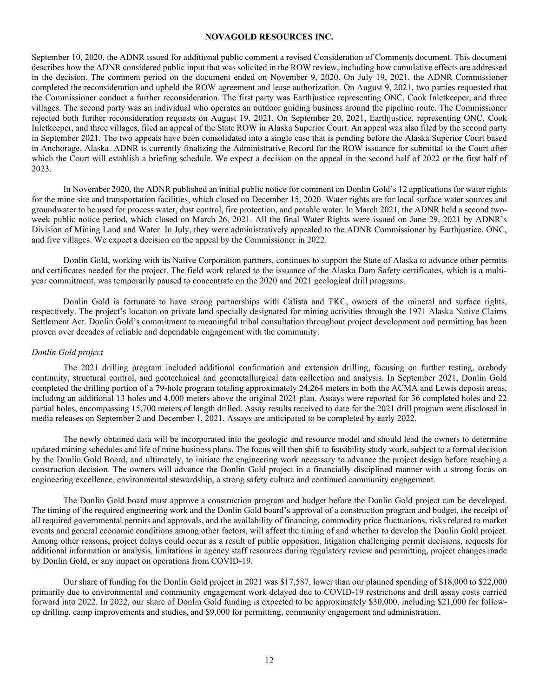September 10, 2020, the ADNR issued for additional public comment a revised Consideration of Comments document. This document describes how the ADNR considered public input that was solicited in the ROW review, including how cumulative effects are addressed in the decision. The comment period on the document ended on November 9, 2020. On July 19, 2021, the ADNR Commissioner completed the reconsideration and upheld the ROW agreement and lease authorization. On August 9, 2021, two parties requested that the Commissioner conduct a further reconsideration. The first party was Earthjustice representing ONC, Cook Inletkeeper, and three villages. The second party was an individual who operates an outdoor guiding business around the pipeline route. The Commissioner rejected both further reconsideration requests on August 19, 2021. On September 20, 2021, Earthjustice, representing ONC, Cook Inletkeeper, and three villages, filed an appeal of the State ROW in Alaska Superior Court. An appeal was also filed by the second party in September 2021. The two appeals have been consolidated into a single case that is pending before the Alaska Superior Court based in Anchorage, Alaska. ADNR is currently finalizing the Administrative Record for the ROW issuance for submittal to the Court after which the Court will establish a briefing schedule. We expect a decision on the appeal in the second half of 2022 or the first half of 2023.

In November 2020, the ADNR published an initial public notice for comment on Donlin Gold's 12 applications for water rights for the mine site and transportation facilities, which closed on December 15, 2020. Water rights are for local surface water sources and groundwater to be used for process water, dust control, fire protection, and potable water. In March 2021, the ADNR held a second twoweek public notice period, which closed on March 26, 2021. All the final Water Rights were issued on June 29, 2021 by ADNR's Division of Mining Land and Water. In July, they were administratively appealed to the ADNR Commissioner by Earthjustice, ONC, and five villages. We expect a decision on the appeal by the Commissioner in 2022.

Donlin Gold, working with its Native Corporation partners, continues to support the State of Alaska to advance other permits and certificates needed for the project. The field work related to the issuance of the Alaska Dam Safety certificates, which is a multiyear commitment, was temporarily paused to concentrate on the 2020 and 2021 geological drill programs.

Donlin Gold is fortunate to have strong partnerships with Calista and TKC, owners of the mineral and surface rights, respectively. The project's location on private land specially designated for mining activities through the 1971 Alaska Native Claims Settlement Act. Donlin Gold's commitment to meaningful tribal consultation throughout project development and permitting has been proven over decades of reliable and dependable engagement with the community.

#### *Donlin Gold project*

The 2021 drilling program included additional confirmation and extension drilling, focusing on further testing, orebody continuity, structural control, and geotechnical and geometallurgical data collection and analysis. In September 2021, Donlin Gold completed the drilling portion of a 79-hole program totaling approximately 24,264 meters in both the ACMA and Lewis deposit areas, including an additional 13 holes and 4,000 meters above the original 2021 plan. Assays were reported for 36 completed holes and 22 partial holes, encompassing 15,700 meters of length drilled. Assay results received to date for the 2021 drill program were disclosed in media releases on September 2 and December 1, 2021. Assays are anticipated to be completed by early 2022.

The newly obtained data will be incorporated into the geologic and resource model and should lead the owners to determine updated mining schedules and life of mine business plans. The focus will then shift to feasibility study work, subject to a formal decision by the Donlin Gold Board, and ultimately, to initiate the engineering work necessary to advance the project design before reaching a construction decision. The owners will advance the Donlin Gold project in a financially disciplined manner with a strong focus on engineering excellence, environmental stewardship, a strong safety culture and continued community engagement.

The Donlin Gold board must approve a construction program and budget before the Donlin Gold project can be developed. The timing of the required engineering work and the Donlin Gold board's approval of a construction program and budget, the receipt of all required governmental permits and approvals, and the availability of financing, commodity price fluctuations, risks related to market events and general economic conditions among other factors, will affect the timing of and whether to develop the Donlin Gold project. Among other reasons, project delays could occur as a result of public opposition, litigation challenging permit decisions, requests for additional information or analysis, limitations in agency staff resources during regulatory review and permitting, project changes made by Donlin Gold, or any impact on operations from COVID-19.

Our share of funding for the Donlin Gold project in 2021 was \$17,587, lower than our planned spending of \$18,000 to \$22,000 primarily due to environmental and community engagement work delayed due to COVID-19 restrictions and drill assay costs carried forward into 2022. In 2022, our share of Donlin Gold funding is expected to be approximately \$30,000, including \$21,000 for followup drilling, camp improvements and studies, and \$9,000 for permitting, community engagement and administration.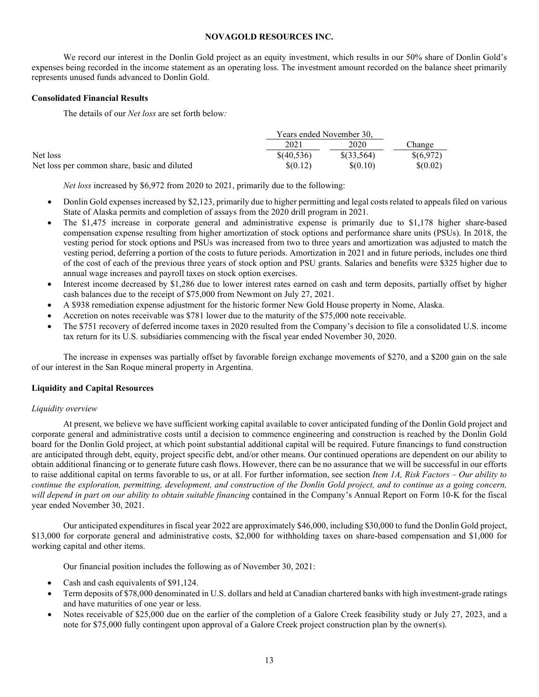We record our interest in the Donlin Gold project as an equity investment, which results in our 50% share of Donlin Gold's expenses being recorded in the income statement as an operating loss. The investment amount recorded on the balance sheet primarily represents unused funds advanced to Donlin Gold.

#### **Consolidated Financial Results**

The details of our *Net loss* are set forth below*:*

|                                              | Years ended November 30. |               |           |  |
|----------------------------------------------|--------------------------|---------------|-----------|--|
|                                              | $202^{\circ}$            | 2020          | Change    |  |
| Net loss                                     | \$(40,536)               | $\{(33, 564)$ | \$(6,972) |  |
| Net loss per common share, basic and diluted | \$(0.12)                 | \$(0.10)      | \$(0.02)  |  |

*Net loss* increased by \$6,972 from 2020 to 2021, primarily due to the following:

- Donlin Gold expenses increased by \$2,123, primarily due to higher permitting and legal costs related to appeals filed on various State of Alaska permits and completion of assays from the 2020 drill program in 2021.
- The \$1,475 increase in corporate general and administrative expense is primarily due to \$1,178 higher share-based compensation expense resulting from higher amortization of stock options and performance share units (PSUs). In 2018, the vesting period for stock options and PSUs was increased from two to three years and amortization was adjusted to match the vesting period, deferring a portion of the costs to future periods. Amortization in 2021 and in future periods, includes one third of the cost of each of the previous three years of stock option and PSU grants. Salaries and benefits were \$325 higher due to annual wage increases and payroll taxes on stock option exercises.
- Interest income decreased by \$1,286 due to lower interest rates earned on cash and term deposits, partially offset by higher cash balances due to the receipt of \$75,000 from Newmont on July 27, 2021.
- A \$938 remediation expense adjustment for the historic former New Gold House property in Nome, Alaska.
- Accretion on notes receivable was \$781 lower due to the maturity of the \$75,000 note receivable.
- The \$751 recovery of deferred income taxes in 2020 resulted from the Company's decision to file a consolidated U.S. income tax return for its U.S. subsidiaries commencing with the fiscal year ended November 30, 2020.

The increase in expenses was partially offset by favorable foreign exchange movements of \$270, and a \$200 gain on the sale of our interest in the San Roque mineral property in Argentina.

#### **Liquidity and Capital Resources**

#### *Liquidity overview*

At present, we believe we have sufficient working capital available to cover anticipated funding of the Donlin Gold project and corporate general and administrative costs until a decision to commence engineering and construction is reached by the Donlin Gold board for the Donlin Gold project, at which point substantial additional capital will be required. Future financings to fund construction are anticipated through debt, equity, project specific debt, and/or other means. Our continued operations are dependent on our ability to obtain additional financing or to generate future cash flows. However, there can be no assurance that we will be successful in our efforts to raise additional capital on terms favorable to us, or at all. For further information, see section *Item 1A, Risk Factors – Our ability to continue the exploration, permitting, development, and construction of the Donlin Gold project, and to continue as a going concern, will depend in part on our ability to obtain suitable financing* contained in the Company's Annual Report on Form 10-K for the fiscal year ended November 30, 2021.

Our anticipated expenditures in fiscal year 2022 are approximately \$46,000, including \$30,000 to fund the Donlin Gold project, \$13,000 for corporate general and administrative costs, \$2,000 for withholding taxes on share-based compensation and \$1,000 for working capital and other items.

Our financial position includes the following as of November 30, 2021:

- Cash and cash equivalents of \$91,124.
- Term deposits of \$78,000 denominated in U.S. dollars and held at Canadian chartered banks with high investment-grade ratings and have maturities of one year or less.
- Notes receivable of \$25,000 due on the earlier of the completion of a Galore Creek feasibility study or July 27, 2023, and a note for \$75,000 fully contingent upon approval of a Galore Creek project construction plan by the owner(s).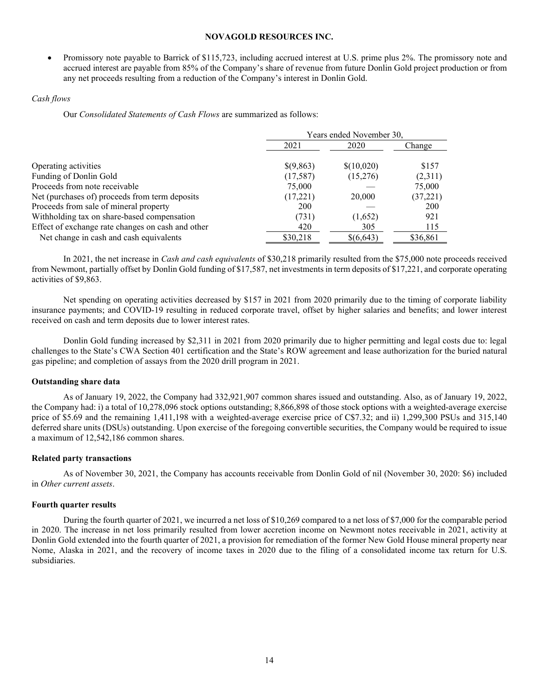• Promissory note payable to Barrick of \$115,723, including accrued interest at U.S. prime plus 2%. The promissory note and accrued interest are payable from 85% of the Company's share of revenue from future Donlin Gold project production or from any net proceeds resulting from a reduction of the Company's interest in Donlin Gold.

#### *Cash flows*

Our *Consolidated Statements of Cash Flows* are summarized as follows:

|                                                   | Years ended November 30, |            |          |  |
|---------------------------------------------------|--------------------------|------------|----------|--|
|                                                   | 2021                     | 2020       | Change   |  |
| Operating activities                              | \$(9,863)                | \$(10,020) | \$157    |  |
| Funding of Donlin Gold                            | (17, 587)                | (15,276)   | (2,311)  |  |
| Proceeds from note receivable                     | 75,000                   |            | 75,000   |  |
| Net (purchases of) proceeds from term deposits    | (17,221)                 | 20,000     | (37,221) |  |
| Proceeds from sale of mineral property            | 200                      |            | 200      |  |
| Withholding tax on share-based compensation       | (731)                    | (1,652)    | 921      |  |
| Effect of exchange rate changes on cash and other | 420                      | 305        | 115      |  |
| Net change in cash and cash equivalents           | \$30,218                 | \$(6,643)  | \$36,861 |  |

In 2021, the net increase in *Cash and cash equivalents* of \$30,218 primarily resulted from the \$75,000 note proceeds received from Newmont, partially offset by Donlin Gold funding of \$17,587, net investments in term deposits of \$17,221, and corporate operating activities of \$9,863.

Net spending on operating activities decreased by \$157 in 2021 from 2020 primarily due to the timing of corporate liability insurance payments; and COVID-19 resulting in reduced corporate travel, offset by higher salaries and benefits; and lower interest received on cash and term deposits due to lower interest rates.

Donlin Gold funding increased by \$2,311 in 2021 from 2020 primarily due to higher permitting and legal costs due to: legal challenges to the State's CWA Section 401 certification and the State's ROW agreement and lease authorization for the buried natural gas pipeline; and completion of assays from the 2020 drill program in 2021.

#### **Outstanding share data**

As of January 19, 2022, the Company had 332,921,907 common shares issued and outstanding. Also, as of January 19, 2022, the Company had: i) a total of 10,278,096 stock options outstanding; 8,866,898 of those stock options with a weighted-average exercise price of \$5.69 and the remaining 1,411,198 with a weighted-average exercise price of C\$7.32; and ii) 1,299,300 PSUs and 315,140 deferred share units (DSUs) outstanding. Upon exercise of the foregoing convertible securities, the Company would be required to issue a maximum of 12,542,186 common shares.

#### **Related party transactions**

As of November 30, 2021, the Company has accounts receivable from Donlin Gold of nil (November 30, 2020: \$6) included in *Other current assets*.

#### **Fourth quarter results**

During the fourth quarter of 2021, we incurred a net loss of \$10,269 compared to a net loss of \$7,000 for the comparable period in 2020. The increase in net loss primarily resulted from lower accretion income on Newmont notes receivable in 2021, activity at Donlin Gold extended into the fourth quarter of 2021, a provision for remediation of the former New Gold House mineral property near Nome, Alaska in 2021, and the recovery of income taxes in 2020 due to the filing of a consolidated income tax return for U.S. subsidiaries.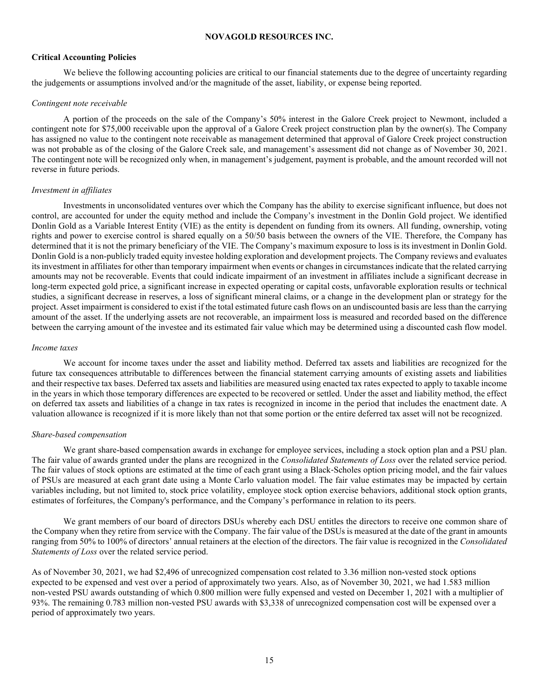#### **Critical Accounting Policies**

We believe the following accounting policies are critical to our financial statements due to the degree of uncertainty regarding the judgements or assumptions involved and/or the magnitude of the asset, liability, or expense being reported.

#### *Contingent note receivable*

A portion of the proceeds on the sale of the Company's 50% interest in the Galore Creek project to Newmont, included a contingent note for \$75,000 receivable upon the approval of a Galore Creek project construction plan by the owner(s). The Company has assigned no value to the contingent note receivable as management determined that approval of Galore Creek project construction was not probable as of the closing of the Galore Creek sale, and management's assessment did not change as of November 30, 2021. The contingent note will be recognized only when, in management's judgement, payment is probable, and the amount recorded will not reverse in future periods.

#### *Investment in affiliates*

Investments in unconsolidated ventures over which the Company has the ability to exercise significant influence, but does not control, are accounted for under the equity method and include the Company's investment in the Donlin Gold project. We identified Donlin Gold as a Variable Interest Entity (VIE) as the entity is dependent on funding from its owners. All funding, ownership, voting rights and power to exercise control is shared equally on a 50/50 basis between the owners of the VIE. Therefore, the Company has determined that it is not the primary beneficiary of the VIE. The Company's maximum exposure to loss is its investment in Donlin Gold. Donlin Gold is a non-publicly traded equity investee holding exploration and development projects. The Company reviews and evaluates its investment in affiliates for other than temporary impairment when events or changes in circumstances indicate that the related carrying amounts may not be recoverable. Events that could indicate impairment of an investment in affiliates include a significant decrease in long-term expected gold price, a significant increase in expected operating or capital costs, unfavorable exploration results or technical studies, a significant decrease in reserves, a loss of significant mineral claims, or a change in the development plan or strategy for the project. Asset impairment is considered to exist if the total estimated future cash flows on an undiscounted basis are less than the carrying amount of the asset. If the underlying assets are not recoverable, an impairment loss is measured and recorded based on the difference between the carrying amount of the investee and its estimated fair value which may be determined using a discounted cash flow model.

#### *Income taxes*

We account for income taxes under the asset and liability method. Deferred tax assets and liabilities are recognized for the future tax consequences attributable to differences between the financial statement carrying amounts of existing assets and liabilities and their respective tax bases. Deferred tax assets and liabilities are measured using enacted tax rates expected to apply to taxable income in the years in which those temporary differences are expected to be recovered or settled. Under the asset and liability method, the effect on deferred tax assets and liabilities of a change in tax rates is recognized in income in the period that includes the enactment date. A valuation allowance is recognized if it is more likely than not that some portion or the entire deferred tax asset will not be recognized.

#### *Share-based compensation*

We grant share-based compensation awards in exchange for employee services, including a stock option plan and a PSU plan. The fair value of awards granted under the plans are recognized in the *Consolidated Statements of Loss* over the related service period. The fair values of stock options are estimated at the time of each grant using a Black‐Scholes option pricing model, and the fair values of PSUs are measured at each grant date using a Monte Carlo valuation model. The fair value estimates may be impacted by certain variables including, but not limited to, stock price volatility, employee stock option exercise behaviors, additional stock option grants, estimates of forfeitures, the Company's performance, and the Company's performance in relation to its peers.

We grant members of our board of directors DSUs whereby each DSU entitles the directors to receive one common share of the Company when they retire from service with the Company. The fair value of the DSUs is measured at the date of the grant in amounts ranging from 50% to 100% of directors' annual retainers at the election of the directors. The fair value is recognized in the *Consolidated Statements of Loss* over the related service period.

As of November 30, 2021, we had \$2,496 of unrecognized compensation cost related to 3.36 million non-vested stock options expected to be expensed and vest over a period of approximately two years. Also, as of November 30, 2021, we had 1.583 million non-vested PSU awards outstanding of which 0.800 million were fully expensed and vested on December 1, 2021 with a multiplier of 93%. The remaining 0.783 million non-vested PSU awards with \$3,338 of unrecognized compensation cost will be expensed over a period of approximately two years.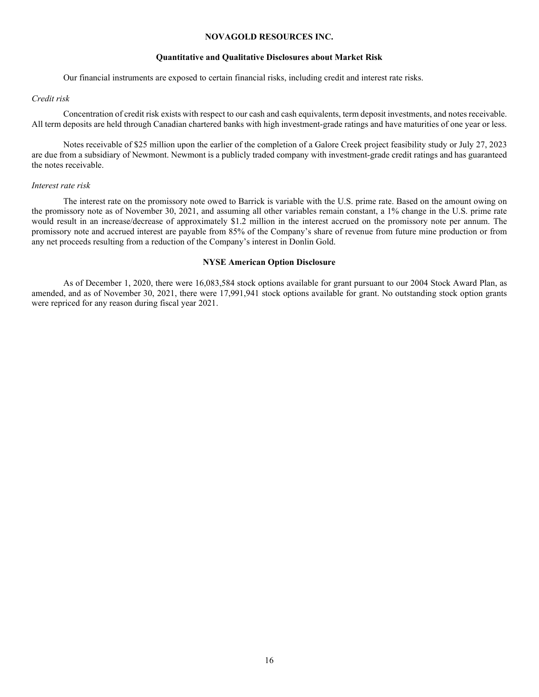#### **Quantitative and Qualitative Disclosures about Market Risk**

Our financial instruments are exposed to certain financial risks, including credit and interest rate risks.

#### *Credit risk*

Concentration of credit risk exists with respect to our cash and cash equivalents, term deposit investments, and notes receivable. All term deposits are held through Canadian chartered banks with high investment-grade ratings and have maturities of one year or less.

Notes receivable of \$25 million upon the earlier of the completion of a Galore Creek project feasibility study or July 27, 2023 are due from a subsidiary of Newmont. Newmont is a publicly traded company with investment-grade credit ratings and has guaranteed the notes receivable.

#### *Interest rate risk*

The interest rate on the promissory note owed to Barrick is variable with the U.S. prime rate. Based on the amount owing on the promissory note as of November 30, 2021, and assuming all other variables remain constant, a 1% change in the U.S. prime rate would result in an increase/decrease of approximately \$1.2 million in the interest accrued on the promissory note per annum. The promissory note and accrued interest are payable from 85% of the Company's share of revenue from future mine production or from any net proceeds resulting from a reduction of the Company's interest in Donlin Gold.

#### **NYSE American Option Disclosure**

As of December 1, 2020, there were 16,083,584 stock options available for grant pursuant to our 2004 Stock Award Plan, as amended, and as of November 30, 2021, there were 17,991,941 stock options available for grant. No outstanding stock option grants were repriced for any reason during fiscal year 2021.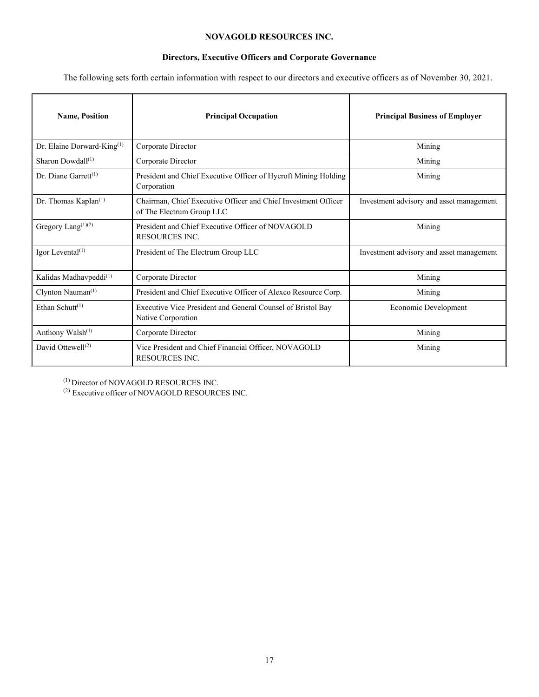# **Directors, Executive Officers and Corporate Governance**

The following sets forth certain information with respect to our directors and executive officers as of November 30, 2021.

| <b>Name, Position</b>                  | <b>Principal Occupation</b>                                                                 | <b>Principal Business of Employer</b>    |
|----------------------------------------|---------------------------------------------------------------------------------------------|------------------------------------------|
| Dr. Elaine Dorward-King <sup>(1)</sup> | Corporate Director                                                                          | Mining                                   |
| Sharon Dowdall $(1)$                   | Corporate Director                                                                          | Mining                                   |
| $Dr.$ Diane Garrett <sup>(1)</sup>     | President and Chief Executive Officer of Hycroft Mining Holding<br>Corporation              | Mining                                   |
| Dr. Thomas Kaplan <sup>(1)</sup>       | Chairman, Chief Executive Officer and Chief Investment Officer<br>of The Electrum Group LLC | Investment advisory and asset management |
| Gregory $Lang^{(1)(2)}$                | President and Chief Executive Officer of NOVAGOLD<br><b>RESOURCES INC.</b>                  | Mining                                   |
| Igor Levental $(1)$                    | President of The Electrum Group LLC                                                         | Investment advisory and asset management |
| Kalidas Madhavpeddi <sup>(1)</sup>     | Corporate Director                                                                          | Mining                                   |
| Clynton Nauman <sup>(1)</sup>          | President and Chief Executive Officer of Alexco Resource Corp.                              | Mining                                   |
| Ethan Schutt $(1)$                     | Executive Vice President and General Counsel of Bristol Bay<br>Native Corporation           | Economic Development                     |
| Anthony Walsh $(1)$                    | Corporate Director                                                                          | Mining                                   |
| David Ottewell <sup>(2)</sup>          | Vice President and Chief Financial Officer, NOVAGOLD<br><b>RESOURCES INC.</b>               | Mining                                   |

(1) Director of NOVAGOLD RESOURCES INC.

(2) Executive officer of NOVAGOLD RESOURCES INC.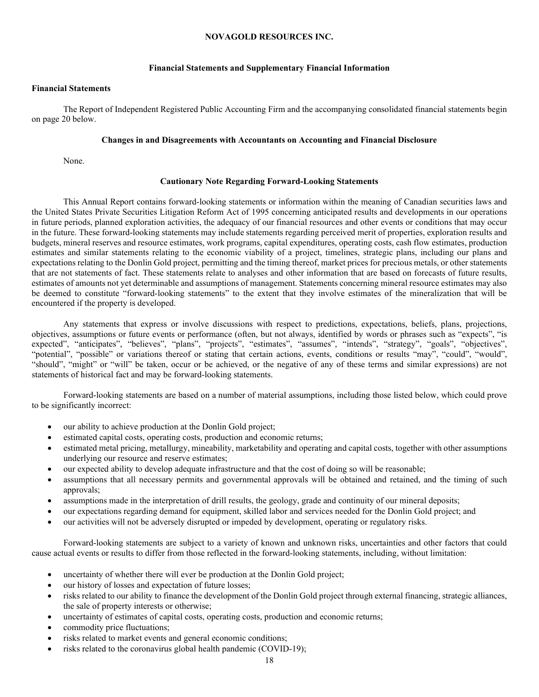#### **Financial Statements and Supplementary Financial Information**

#### **Financial Statements**

The Report of Independent Registered Public Accounting Firm and the accompanying consolidated financial statements begin on page 20 below.

#### **Changes in and Disagreements with Accountants on Accounting and Financial Disclosure**

None.

#### **Cautionary Note Regarding Forward-Looking Statements**

This Annual Report contains forward-looking statements or information within the meaning of Canadian securities laws and the United States Private Securities Litigation Reform Act of 1995 concerning anticipated results and developments in our operations in future periods, planned exploration activities, the adequacy of our financial resources and other events or conditions that may occur in the future. These forward-looking statements may include statements regarding perceived merit of properties, exploration results and budgets, mineral reserves and resource estimates, work programs, capital expenditures, operating costs, cash flow estimates, production estimates and similar statements relating to the economic viability of a project, timelines, strategic plans, including our plans and expectations relating to the Donlin Gold project, permitting and the timing thereof, market prices for precious metals, or other statements that are not statements of fact. These statements relate to analyses and other information that are based on forecasts of future results, estimates of amounts not yet determinable and assumptions of management. Statements concerning mineral resource estimates may also be deemed to constitute "forward-looking statements" to the extent that they involve estimates of the mineralization that will be encountered if the property is developed.

Any statements that express or involve discussions with respect to predictions, expectations, beliefs, plans, projections, objectives, assumptions or future events or performance (often, but not always, identified by words or phrases such as "expects", "is expected", "anticipates", "believes", "plans", "projects", "estimates", "assumes", "intends", "strategy", "goals", "objectives", "potential", "possible" or variations thereof or stating that certain actions, events, conditions or results "may", "could", "would", "should", "might" or "will" be taken, occur or be achieved, or the negative of any of these terms and similar expressions) are not statements of historical fact and may be forward-looking statements.

Forward-looking statements are based on a number of material assumptions, including those listed below, which could prove to be significantly incorrect:

- our ability to achieve production at the Donlin Gold project;
- estimated capital costs, operating costs, production and economic returns;
- estimated metal pricing, metallurgy, mineability, marketability and operating and capital costs, together with other assumptions underlying our resource and reserve estimates;
- our expected ability to develop adequate infrastructure and that the cost of doing so will be reasonable;
- assumptions that all necessary permits and governmental approvals will be obtained and retained, and the timing of such approvals;
- assumptions made in the interpretation of drill results, the geology, grade and continuity of our mineral deposits;
- our expectations regarding demand for equipment, skilled labor and services needed for the Donlin Gold project; and
- our activities will not be adversely disrupted or impeded by development, operating or regulatory risks.

Forward-looking statements are subject to a variety of known and unknown risks, uncertainties and other factors that could cause actual events or results to differ from those reflected in the forward-looking statements, including, without limitation:

- uncertainty of whether there will ever be production at the Donlin Gold project;
- our history of losses and expectation of future losses;
- risks related to our ability to finance the development of the Donlin Gold project through external financing, strategic alliances, the sale of property interests or otherwise;
- uncertainty of estimates of capital costs, operating costs, production and economic returns;
- commodity price fluctuations:
- risks related to market events and general economic conditions;
- risks related to the coronavirus global health pandemic (COVID-19);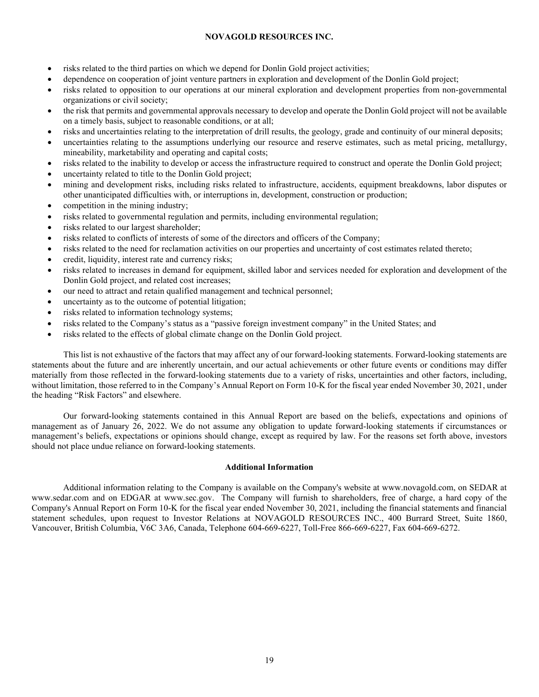- risks related to the third parties on which we depend for Donlin Gold project activities;
- dependence on cooperation of joint venture partners in exploration and development of the Donlin Gold project;
- risks related to opposition to our operations at our mineral exploration and development properties from non-governmental organizations or civil society;
- the risk that permits and governmental approvals necessary to develop and operate the Donlin Gold project will not be available on a timely basis, subject to reasonable conditions, or at all;
- risks and uncertainties relating to the interpretation of drill results, the geology, grade and continuity of our mineral deposits;
- uncertainties relating to the assumptions underlying our resource and reserve estimates, such as metal pricing, metallurgy, mineability, marketability and operating and capital costs;
- risks related to the inability to develop or access the infrastructure required to construct and operate the Donlin Gold project;
- uncertainty related to title to the Donlin Gold project;
- mining and development risks, including risks related to infrastructure, accidents, equipment breakdowns, labor disputes or other unanticipated difficulties with, or interruptions in, development, construction or production;
- competition in the mining industry;
- risks related to governmental regulation and permits, including environmental regulation;
- risks related to our largest shareholder;
- risks related to conflicts of interests of some of the directors and officers of the Company;
- risks related to the need for reclamation activities on our properties and uncertainty of cost estimates related thereto;
- credit, liquidity, interest rate and currency risks;
- risks related to increases in demand for equipment, skilled labor and services needed for exploration and development of the Donlin Gold project, and related cost increases;
- our need to attract and retain qualified management and technical personnel;
- uncertainty as to the outcome of potential litigation;
- risks related to information technology systems;
- risks related to the Company's status as a "passive foreign investment company" in the United States; and
- risks related to the effects of global climate change on the Donlin Gold project.

This list is not exhaustive of the factors that may affect any of our forward-looking statements. Forward-looking statements are statements about the future and are inherently uncertain, and our actual achievements or other future events or conditions may differ materially from those reflected in the forward-looking statements due to a variety of risks, uncertainties and other factors, including, without limitation, those referred to in the Company's Annual Report on Form 10-K for the fiscal year ended November 30, 2021, under the heading "Risk Factors" and elsewhere.

Our forward-looking statements contained in this Annual Report are based on the beliefs, expectations and opinions of management as of January 26, 2022. We do not assume any obligation to update forward-looking statements if circumstances or management's beliefs, expectations or opinions should change, except as required by law. For the reasons set forth above, investors should not place undue reliance on forward-looking statements.

# **Additional Information**

Additional information relating to the Company is available on the Company's website at www.novagold.com, on SEDAR at www.sedar.com and on EDGAR at www.sec.gov. The Company will furnish to shareholders, free of charge, a hard copy of the Company's Annual Report on Form 10-K for the fiscal year ended November 30, 2021, including the financial statements and financial statement schedules, upon request to Investor Relations at NOVAGOLD RESOURCES INC., 400 Burrard Street, Suite 1860, Vancouver, British Columbia, V6C 3A6, Canada, Telephone 604-669-6227, Toll-Free 866-669-6227, Fax 604-669-6272.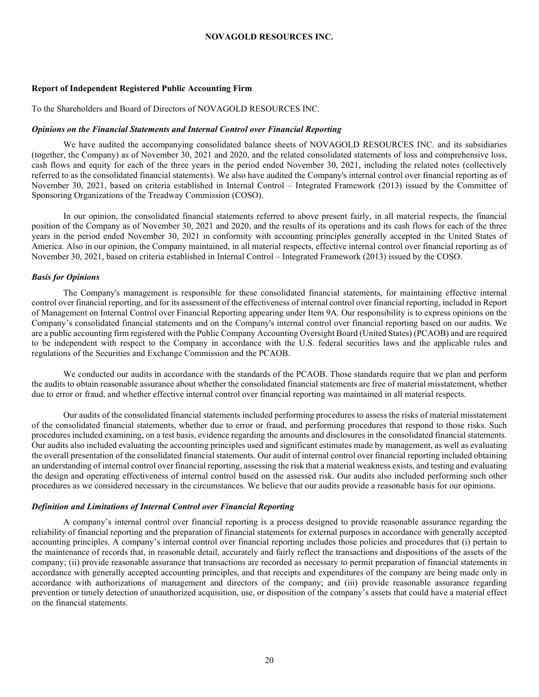#### **Report of Independent Registered Public Accounting Firm**

#### To the Shareholders and Board of Directors of NOVAGOLD RESOURCES INC.

#### *Opinions on the Financial Statements and Internal Control over Financial Reporting*

We have audited the accompanying consolidated balance sheets of NOVAGOLD RESOURCES INC. and its subsidiaries (together, the Company) as of November 30, 2021 and 2020, and the related consolidated statements of loss and comprehensive loss, cash flows and equity for each of the three years in the period ended November 30, 2021, including the related notes (collectively referred to as the consolidated financial statements). We also have audited the Company's internal control over financial reporting as of November 30, 2021, based on criteria established in Internal Control – Integrated Framework (2013) issued by the Committee of Sponsoring Organizations of the Treadway Commission (COSO).

In our opinion, the consolidated financial statements referred to above present fairly, in all material respects, the financial position of the Company as of November 30, 2021 and 2020, and the results of its operations and its cash flows for each of the three years in the period ended November 30, 2021 in conformity with accounting principles generally accepted in the United States of America. Also in our opinion, the Company maintained, in all material respects, effective internal control over financial reporting as of November 30, 2021, based on criteria established in Internal Control – Integrated Framework (2013) issued by the COSO.

#### *Basis for Opinions*

The Company's management is responsible for these consolidated financial statements, for maintaining effective internal control over financial reporting, and for its assessment of the effectiveness of internal control over financial reporting, included in Report of Management on Internal Control over Financial Reporting appearing under Item 9A. Our responsibility is to express opinions on the Company's consolidated financial statements and on the Company's internal control over financial reporting based on our audits. We are a public accounting firm registered with the Public Company Accounting Oversight Board (United States) (PCAOB) and are required to be independent with respect to the Company in accordance with the U.S. federal securities laws and the applicable rules and regulations of the Securities and Exchange Commission and the PCAOB.

We conducted our audits in accordance with the standards of the PCAOB. Those standards require that we plan and perform the audits to obtain reasonable assurance about whether the consolidated financial statements are free of material misstatement, whether due to error or fraud, and whether effective internal control over financial reporting was maintained in all material respects.

Our audits of the consolidated financial statements included performing procedures to assess the risks of material misstatement of the consolidated financial statements, whether due to error or fraud, and performing procedures that respond to those risks. Such procedures included examining, on a test basis, evidence regarding the amounts and disclosures in the consolidated financial statements. Our audits also included evaluating the accounting principles used and significant estimates made by management, as well as evaluating the overall presentation of the consolidated financial statements. Our audit of internal control over financial reporting included obtaining an understanding of internal control over financial reporting, assessing the risk that a material weakness exists, and testing and evaluating the design and operating effectiveness of internal control based on the assessed risk. Our audits also included performing such other procedures as we considered necessary in the circumstances. We believe that our audits provide a reasonable basis for our opinions.

#### *Definition and Limitations of Internal Control over Financial Reporting*

A company's internal control over financial reporting is a process designed to provide reasonable assurance regarding the reliability of financial reporting and the preparation of financial statements for external purposes in accordance with generally accepted accounting principles. A company's internal control over financial reporting includes those policies and procedures that (i) pertain to the maintenance of records that, in reasonable detail, accurately and fairly reflect the transactions and dispositions of the assets of the company; (ii) provide reasonable assurance that transactions are recorded as necessary to permit preparation of financial statements in accordance with generally accepted accounting principles, and that receipts and expenditures of the company are being made only in accordance with authorizations of management and directors of the company; and (iii) provide reasonable assurance regarding prevention or timely detection of unauthorized acquisition, use, or disposition of the company's assets that could have a material effect on the financial statements.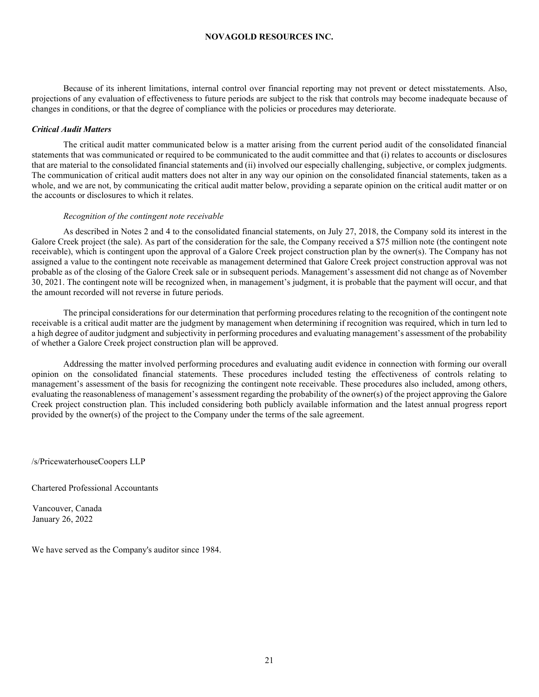Because of its inherent limitations, internal control over financial reporting may not prevent or detect misstatements. Also, projections of any evaluation of effectiveness to future periods are subject to the risk that controls may become inadequate because of changes in conditions, or that the degree of compliance with the policies or procedures may deteriorate.

#### *Critical Audit Matters*

The critical audit matter communicated below is a matter arising from the current period audit of the consolidated financial statements that was communicated or required to be communicated to the audit committee and that (i) relates to accounts or disclosures that are material to the consolidated financial statements and (ii) involved our especially challenging, subjective, or complex judgments. The communication of critical audit matters does not alter in any way our opinion on the consolidated financial statements, taken as a whole, and we are not, by communicating the critical audit matter below, providing a separate opinion on the critical audit matter or on the accounts or disclosures to which it relates.

#### *Recognition of the contingent note receivable*

As described in Notes 2 and 4 to the consolidated financial statements, on July 27, 2018, the Company sold its interest in the Galore Creek project (the sale). As part of the consideration for the sale, the Company received a \$75 million note (the contingent note receivable), which is contingent upon the approval of a Galore Creek project construction plan by the owner(s). The Company has not assigned a value to the contingent note receivable as management determined that Galore Creek project construction approval was not probable as of the closing of the Galore Creek sale or in subsequent periods. Management's assessment did not change as of November 30, 2021. The contingent note will be recognized when, in management's judgment, it is probable that the payment will occur, and that the amount recorded will not reverse in future periods.

The principal considerations for our determination that performing procedures relating to the recognition of the contingent note receivable is a critical audit matter are the judgment by management when determining if recognition was required, which in turn led to a high degree of auditor judgment and subjectivity in performing procedures and evaluating management's assessment of the probability of whether a Galore Creek project construction plan will be approved.

Addressing the matter involved performing procedures and evaluating audit evidence in connection with forming our overall opinion on the consolidated financial statements. These procedures included testing the effectiveness of controls relating to management's assessment of the basis for recognizing the contingent note receivable. These procedures also included, among others, evaluating the reasonableness of management's assessment regarding the probability of the owner(s) of the project approving the Galore Creek project construction plan. This included considering both publicly available information and the latest annual progress report provided by the owner(s) of the project to the Company under the terms of the sale agreement.

/s/PricewaterhouseCoopers LLP

Chartered Professional Accountants

Vancouver, Canada January 26, 2022

We have served as the Company's auditor since 1984.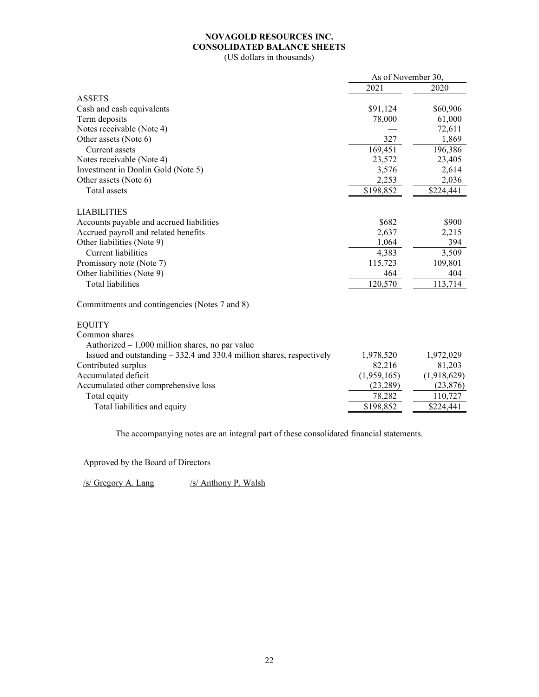# **NOVAGOLD RESOURCES INC. CONSOLIDATED BALANCE SHEETS**

(US dollars in thousands)

|                                                                       | As of November 30, |             |
|-----------------------------------------------------------------------|--------------------|-------------|
|                                                                       | 2021               | 2020        |
| <b>ASSETS</b>                                                         |                    |             |
| Cash and cash equivalents                                             | \$91,124           | \$60,906    |
| Term deposits                                                         | 78,000             | 61,000      |
| Notes receivable (Note 4)                                             |                    | 72,611      |
| Other assets (Note 6)                                                 | 327                | 1,869       |
| Current assets                                                        | 169,451            | 196,386     |
| Notes receivable (Note 4)                                             | 23,572             | 23,405      |
| Investment in Donlin Gold (Note 5)                                    | 3,576              | 2,614       |
| Other assets (Note 6)                                                 | 2,253              | 2,036       |
| Total assets                                                          | \$198,852          | \$224,441   |
| <b>LIABILITIES</b>                                                    |                    |             |
| Accounts payable and accrued liabilities                              | \$682              | \$900       |
| Accrued payroll and related benefits                                  | 2,637              | 2,215       |
| Other liabilities (Note 9)                                            | 1,064              | 394         |
| Current liabilities                                                   | 4,383              | 3,509       |
| Promissory note (Note 7)                                              | 115,723            | 109,801     |
| Other liabilities (Note 9)                                            | 464                | 404         |
| <b>Total liabilities</b>                                              | 120,570            | 113,714     |
| Commitments and contingencies (Notes 7 and 8)                         |                    |             |
| <b>EQUITY</b>                                                         |                    |             |
| Common shares                                                         |                    |             |
| Authorized $-1,000$ million shares, no par value                      |                    |             |
| Issued and outstanding - 332.4 and 330.4 million shares, respectively | 1,978,520          | 1,972,029   |
| Contributed surplus                                                   | 82,216             | 81,203      |
| Accumulated deficit                                                   | (1,959,165)        | (1,918,629) |
| Accumulated other comprehensive loss                                  | (23, 289)          | (23, 876)   |
| Total equity                                                          | 78,282             | 110,727     |
| Total liabilities and equity                                          | \$198,852          | \$224,441   |
|                                                                       |                    |             |

The accompanying notes are an integral part of these consolidated financial statements.

Approved by the Board of Directors

/s/ Gregory A. Lang /s/ Anthony P. Walsh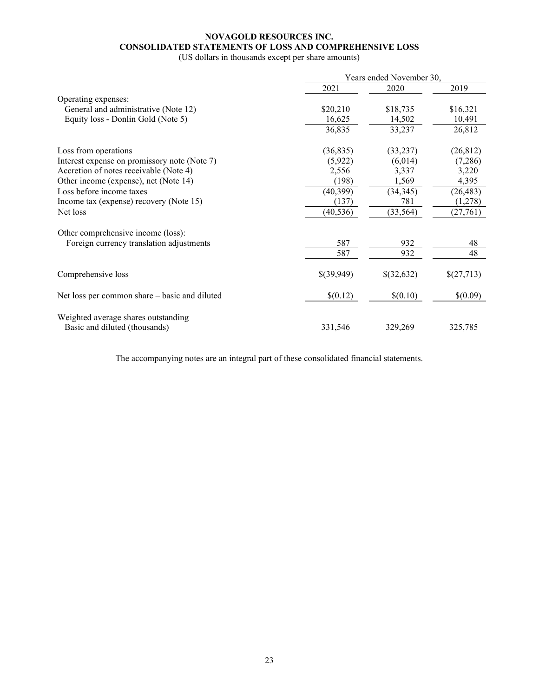# **NOVAGOLD RESOURCES INC. CONSOLIDATED STATEMENTS OF LOSS AND COMPREHENSIVE LOSS**

(US dollars in thousands except per share amounts)

|                                               | Years ended November 30, |            |            |
|-----------------------------------------------|--------------------------|------------|------------|
|                                               | 2021                     | 2020       | 2019       |
| Operating expenses:                           |                          |            |            |
| General and administrative (Note 12)          | \$20,210                 | \$18,735   | \$16,321   |
| Equity loss - Donlin Gold (Note 5)            | 16,625                   | 14,502     | 10,491     |
|                                               | 36,835                   | 33,237     | 26,812     |
| Loss from operations                          | (36, 835)                | (33, 237)  | (26, 812)  |
| Interest expense on promissory note (Note 7)  | (5,922)                  | (6,014)    | (7,286)    |
| Accretion of notes receivable (Note 4)        | 2,556                    | 3,337      | 3,220      |
| Other income (expense), net (Note 14)         | (198)                    | 1,569      | 4,395      |
| Loss before income taxes                      | (40, 399)                | (34,345)   | (26, 483)  |
| Income tax (expense) recovery (Note 15)       | (137)                    | 781        | (1,278)    |
| Net loss                                      | (40, 536)                | (33, 564)  | (27, 761)  |
| Other comprehensive income (loss):            |                          |            |            |
| Foreign currency translation adjustments      | 587                      | 932        | 48         |
|                                               | 587                      | 932        | 48         |
| Comprehensive loss                            | \$(39,949)               | \$(32,632) | \$(27,713) |
| Net loss per common share – basic and diluted | \$(0.12)                 | \$(0.10)   | \$(0.09)   |
| Weighted average shares outstanding           |                          |            |            |
| Basic and diluted (thousands)                 | 331,546                  | 329,269    | 325,785    |

The accompanying notes are an integral part of these consolidated financial statements.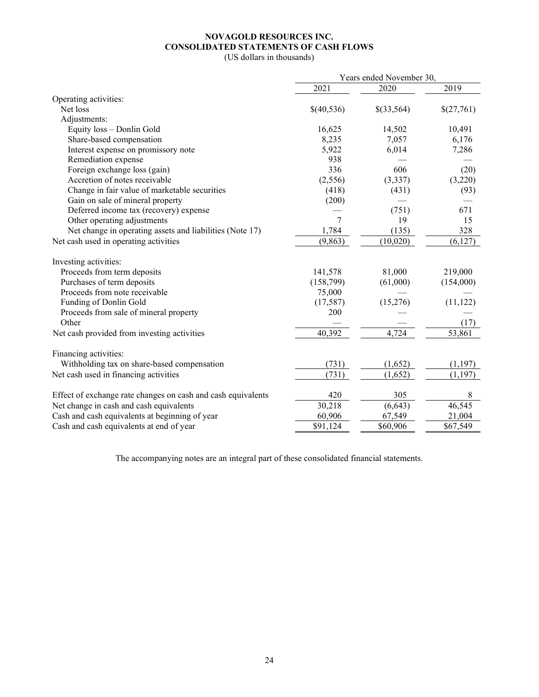# **NOVAGOLD RESOURCES INC. CONSOLIDATED STATEMENTS OF CASH FLOWS**

(US dollars in thousands)

|                                                              | Years ended November 30, |            |            |
|--------------------------------------------------------------|--------------------------|------------|------------|
|                                                              | 2021                     | 2020       | 2019       |
| Operating activities:                                        |                          |            |            |
| Net loss                                                     | \$(40,536)               | \$(33,564) | \$(27,761) |
| Adjustments:                                                 |                          |            |            |
| Equity loss - Donlin Gold                                    | 16,625                   | 14,502     | 10,491     |
| Share-based compensation                                     | 8,235                    | 7,057      | 6,176      |
| Interest expense on promissory note                          | 5,922                    | 6,014      | 7,286      |
| Remediation expense                                          | 938                      |            |            |
| Foreign exchange loss (gain)                                 | 336                      | 606        | (20)       |
| Accretion of notes receivable                                | (2, 556)                 | (3, 337)   | (3,220)    |
| Change in fair value of marketable securities                | (418)                    | (431)      | (93)       |
| Gain on sale of mineral property                             | (200)                    |            |            |
| Deferred income tax (recovery) expense                       |                          | (751)      | 671        |
| Other operating adjustments                                  | 7                        | 19         | 15         |
| Net change in operating assets and liabilities (Note 17)     | 1,784                    | (135)      | 328        |
| Net cash used in operating activities                        | (9, 863)                 | (10,020)   | (6,127)    |
| Investing activities:                                        |                          |            |            |
| Proceeds from term deposits                                  | 141,578                  | 81,000     | 219,000    |
| Purchases of term deposits                                   | (158,799)                | (61,000)   | (154,000)  |
| Proceeds from note receivable                                | 75,000                   |            |            |
| Funding of Donlin Gold                                       | (17, 587)                | (15,276)   | (11, 122)  |
| Proceeds from sale of mineral property                       | 200                      |            |            |
| Other                                                        |                          |            | (17)       |
| Net cash provided from investing activities                  | 40,392                   | 4,724      | 53,861     |
| Financing activities:                                        |                          |            |            |
| Withholding tax on share-based compensation                  | (731)                    | (1,652)    | (1, 197)   |
| Net cash used in financing activities                        | (731)                    | (1,652)    | (1, 197)   |
|                                                              |                          |            |            |
| Effect of exchange rate changes on cash and cash equivalents | 420                      | 305        | 8          |
| Net change in cash and cash equivalents                      | 30,218                   | (6, 643)   | 46,545     |
| Cash and cash equivalents at beginning of year               | 60,906                   | 67,549     | 21,004     |
| Cash and cash equivalents at end of year                     | \$91,124                 | \$60,906   | \$67,549   |

The accompanying notes are an integral part of these consolidated financial statements.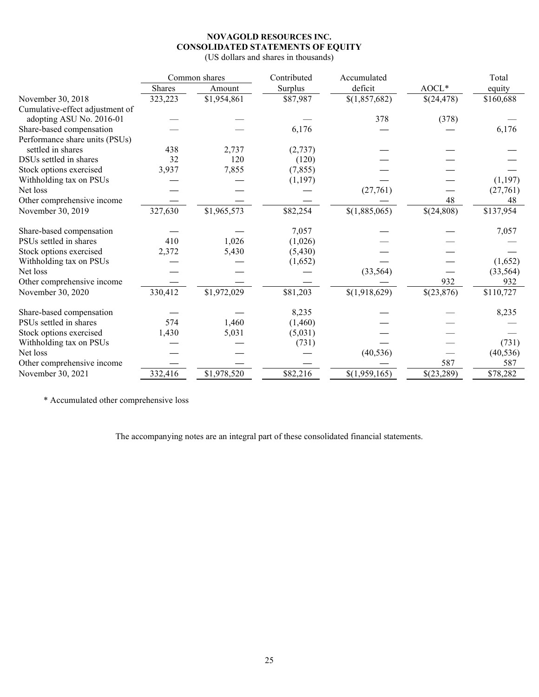# **NOVAGOLD RESOURCES INC. CONSOLIDATED STATEMENTS OF EQUITY**

(US dollars and shares in thousands)

|                                 |         | Common shares | Contributed | Accumulated   |            | Total     |
|---------------------------------|---------|---------------|-------------|---------------|------------|-----------|
|                                 | Shares  | Amount        | Surplus     | deficit       | $A O CL*$  | equity    |
| November 30, 2018               | 323,223 | \$1,954,861   | \$87,987    | \$(1,857,682) | \$(24,478) | \$160,688 |
| Cumulative-effect adjustment of |         |               |             |               |            |           |
| adopting ASU No. 2016-01        |         |               |             | 378           | (378)      |           |
| Share-based compensation        |         |               | 6,176       |               |            | 6,176     |
| Performance share units (PSUs)  |         |               |             |               |            |           |
| settled in shares               | 438     | 2,737         | (2,737)     |               |            |           |
| DSUs settled in shares          | 32      | 120           | (120)       |               |            |           |
| Stock options exercised         | 3,937   | 7,855         | (7, 855)    |               |            |           |
| Withholding tax on PSUs         |         |               | (1,197)     |               |            | (1, 197)  |
| Net loss                        |         |               |             | (27,761)      |            | (27,761)  |
| Other comprehensive income      |         |               |             |               | 48         | 48        |
| November 30, 2019               | 327,630 | \$1,965,573   | \$82,254    | \$(1,885,065) | \$(24,808) | \$137,954 |
| Share-based compensation        |         |               | 7,057       |               |            | 7,057     |
| PSUs settled in shares          | 410     | 1,026         | (1,026)     |               |            |           |
| Stock options exercised         | 2,372   | 5,430         | (5,430)     |               |            |           |
| Withholding tax on PSUs         |         |               | (1,652)     |               |            | (1,652)   |
| Net loss                        |         |               |             | (33, 564)     |            | (33, 564) |
| Other comprehensive income      |         |               |             |               | 932        | 932       |
| November 30, 2020               | 330,412 | \$1,972,029   | \$81,203    | \$(1,918,629) | \$(23,876) | \$110,727 |
| Share-based compensation        |         |               | 8,235       |               |            | 8,235     |
| PSUs settled in shares          | 574     | 1,460         | (1,460)     |               |            |           |
| Stock options exercised         | 1,430   | 5,031         | (5,031)     |               |            |           |
| Withholding tax on PSUs         |         |               | (731)       |               |            | (731)     |
| Net loss                        |         |               |             | (40, 536)     |            | (40, 536) |
| Other comprehensive income      |         |               |             |               | 587        | 587       |
| November 30, 2021               | 332,416 | \$1,978,520   | \$82,216    | \$(1,959,165) | \$(23,289) | \$78,282  |

\* Accumulated other comprehensive loss

The accompanying notes are an integral part of these consolidated financial statements.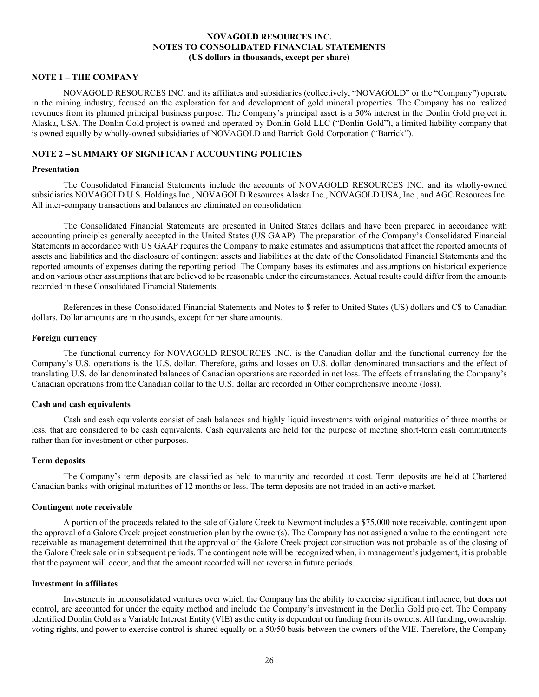#### **NOTE 1 – THE COMPANY**

NOVAGOLD RESOURCES INC. and its affiliates and subsidiaries (collectively, "NOVAGOLD" or the "Company") operate in the mining industry, focused on the exploration for and development of gold mineral properties. The Company has no realized revenues from its planned principal business purpose. The Company's principal asset is a 50% interest in the Donlin Gold project in Alaska, USA. The Donlin Gold project is owned and operated by Donlin Gold LLC ("Donlin Gold"), a limited liability company that is owned equally by wholly-owned subsidiaries of NOVAGOLD and Barrick Gold Corporation ("Barrick").

#### **NOTE 2 – SUMMARY OF SIGNIFICANT ACCOUNTING POLICIES**

#### **Presentation**

The Consolidated Financial Statements include the accounts of NOVAGOLD RESOURCES INC. and its wholly-owned subsidiaries NOVAGOLD U.S. Holdings Inc., NOVAGOLD Resources Alaska Inc., NOVAGOLD USA, Inc., and AGC Resources Inc. All inter-company transactions and balances are eliminated on consolidation.

The Consolidated Financial Statements are presented in United States dollars and have been prepared in accordance with accounting principles generally accepted in the United States (US GAAP). The preparation of the Company's Consolidated Financial Statements in accordance with US GAAP requires the Company to make estimates and assumptions that affect the reported amounts of assets and liabilities and the disclosure of contingent assets and liabilities at the date of the Consolidated Financial Statements and the reported amounts of expenses during the reporting period. The Company bases its estimates and assumptions on historical experience and on various other assumptions that are believed to be reasonable under the circumstances. Actual results could differ from the amounts recorded in these Consolidated Financial Statements.

References in these Consolidated Financial Statements and Notes to \$ refer to United States (US) dollars and C\$ to Canadian dollars. Dollar amounts are in thousands, except for per share amounts.

#### **Foreign currency**

The functional currency for NOVAGOLD RESOURCES INC. is the Canadian dollar and the functional currency for the Company's U.S. operations is the U.S. dollar. Therefore, gains and losses on U.S. dollar denominated transactions and the effect of translating U.S. dollar denominated balances of Canadian operations are recorded in net loss. The effects of translating the Company's Canadian operations from the Canadian dollar to the U.S. dollar are recorded in Other comprehensive income (loss).

#### **Cash and cash equivalents**

Cash and cash equivalents consist of cash balances and highly liquid investments with original maturities of three months or less, that are considered to be cash equivalents. Cash equivalents are held for the purpose of meeting short-term cash commitments rather than for investment or other purposes.

#### **Term deposits**

The Company's term deposits are classified as held to maturity and recorded at cost. Term deposits are held at Chartered Canadian banks with original maturities of 12 months or less. The term deposits are not traded in an active market.

#### **Contingent note receivable**

A portion of the proceeds related to the sale of Galore Creek to Newmont includes a \$75,000 note receivable, contingent upon the approval of a Galore Creek project construction plan by the owner(s). The Company has not assigned a value to the contingent note receivable as management determined that the approval of the Galore Creek project construction was not probable as of the closing of the Galore Creek sale or in subsequent periods. The contingent note will be recognized when, in management's judgement, it is probable that the payment will occur, and that the amount recorded will not reverse in future periods.

#### **Investment in affiliates**

Investments in unconsolidated ventures over which the Company has the ability to exercise significant influence, but does not control, are accounted for under the equity method and include the Company's investment in the Donlin Gold project. The Company identified Donlin Gold as a Variable Interest Entity (VIE) as the entity is dependent on funding from its owners. All funding, ownership, voting rights, and power to exercise control is shared equally on a 50/50 basis between the owners of the VIE. Therefore, the Company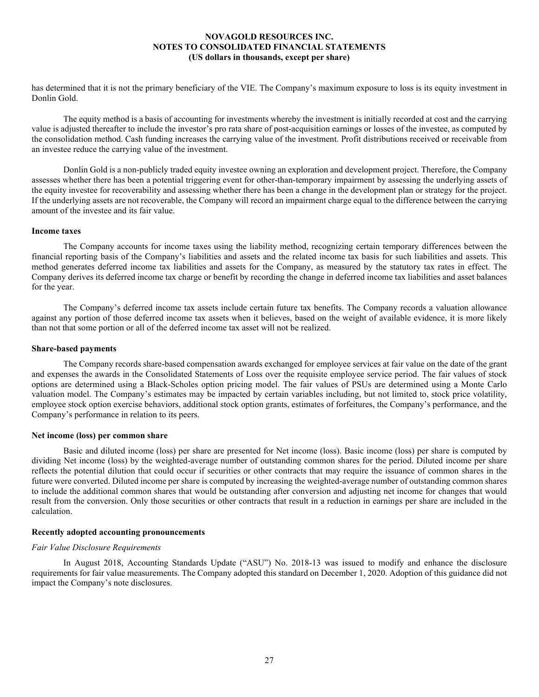has determined that it is not the primary beneficiary of the VIE. The Company's maximum exposure to loss is its equity investment in Donlin Gold.

The equity method is a basis of accounting for investments whereby the investment is initially recorded at cost and the carrying value is adjusted thereafter to include the investor's pro rata share of post-acquisition earnings or losses of the investee, as computed by the consolidation method. Cash funding increases the carrying value of the investment. Profit distributions received or receivable from an investee reduce the carrying value of the investment.

Donlin Gold is a non-publicly traded equity investee owning an exploration and development project. Therefore, the Company assesses whether there has been a potential triggering event for other-than-temporary impairment by assessing the underlying assets of the equity investee for recoverability and assessing whether there has been a change in the development plan or strategy for the project. If the underlying assets are not recoverable, the Company will record an impairment charge equal to the difference between the carrying amount of the investee and its fair value.

#### **Income taxes**

The Company accounts for income taxes using the liability method, recognizing certain temporary differences between the financial reporting basis of the Company's liabilities and assets and the related income tax basis for such liabilities and assets. This method generates deferred income tax liabilities and assets for the Company, as measured by the statutory tax rates in effect. The Company derives its deferred income tax charge or benefit by recording the change in deferred income tax liabilities and asset balances for the year.

The Company's deferred income tax assets include certain future tax benefits. The Company records a valuation allowance against any portion of those deferred income tax assets when it believes, based on the weight of available evidence, it is more likely than not that some portion or all of the deferred income tax asset will not be realized.

#### **Share-based payments**

The Company records share-based compensation awards exchanged for employee services at fair value on the date of the grant and expenses the awards in the Consolidated Statements of Loss over the requisite employee service period. The fair values of stock options are determined using a Black-Scholes option pricing model. The fair values of PSUs are determined using a Monte Carlo valuation model. The Company's estimates may be impacted by certain variables including, but not limited to, stock price volatility, employee stock option exercise behaviors, additional stock option grants, estimates of forfeitures, the Company's performance, and the Company's performance in relation to its peers.

#### **Net income (loss) per common share**

Basic and diluted income (loss) per share are presented for Net income (loss). Basic income (loss) per share is computed by dividing Net income (loss) by the weighted-average number of outstanding common shares for the period. Diluted income per share reflects the potential dilution that could occur if securities or other contracts that may require the issuance of common shares in the future were converted. Diluted income per share is computed by increasing the weighted-average number of outstanding common shares to include the additional common shares that would be outstanding after conversion and adjusting net income for changes that would result from the conversion. Only those securities or other contracts that result in a reduction in earnings per share are included in the calculation.

#### **Recently adopted accounting pronouncements**

#### *Fair Value Disclosure Requirements*

In August 2018, Accounting Standards Update ("ASU") No. 2018-13 was issued to modify and enhance the disclosure requirements for fair value measurements. The Company adopted this standard on December 1, 2020. Adoption of this guidance did not impact the Company's note disclosures.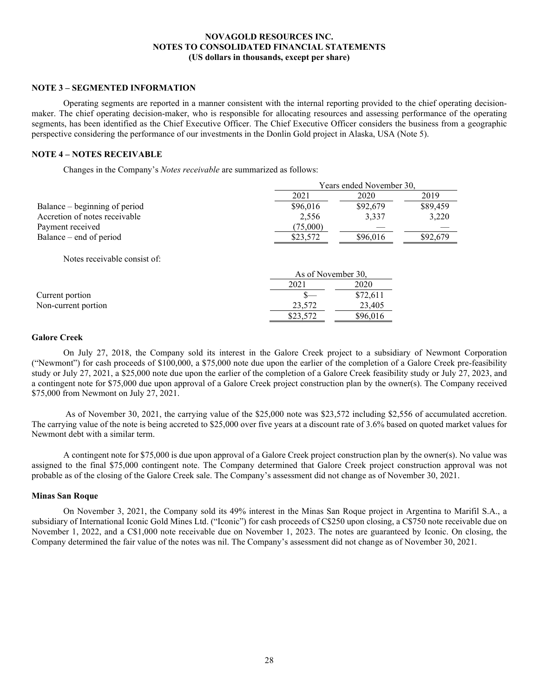#### **NOTE 3 – SEGMENTED INFORMATION**

Operating segments are reported in a manner consistent with the internal reporting provided to the chief operating decisionmaker. The chief operating decision-maker, who is responsible for allocating resources and assessing performance of the operating segments, has been identified as the Chief Executive Officer. The Chief Executive Officer considers the business from a geographic perspective considering the performance of our investments in the Donlin Gold project in Alaska, USA (Note 5).

#### **NOTE 4 – NOTES RECEIVABLE**

Changes in the Company's *Notes receivable* are summarized as follows:

|                               |                    | Years ended November 30, |          |  |
|-------------------------------|--------------------|--------------------------|----------|--|
|                               | 2021               | 2020                     | 2019     |  |
| Balance – beginning of period | \$96,016           | \$92,679                 | \$89,459 |  |
| Accretion of notes receivable | 2,556              | 3,337                    | 3,220    |  |
| Payment received              | (75,000)           |                          |          |  |
| Balance – end of period       | \$23,572           | \$96,016                 | \$92,679 |  |
| Notes receivable consist of:  |                    |                          |          |  |
|                               | As of November 30, |                          |          |  |
|                               | 2021               | 2020                     |          |  |
| Current portion               | $S-$               | \$72,611                 |          |  |
| Non-current portion           | 23,572             | 23,405                   |          |  |
|                               | \$23,572           | \$96,016                 |          |  |

#### **Galore Creek**

On July 27, 2018, the Company sold its interest in the Galore Creek project to a subsidiary of Newmont Corporation ("Newmont") for cash proceeds of \$100,000, a \$75,000 note due upon the earlier of the completion of a Galore Creek pre-feasibility study or July 27, 2021, a \$25,000 note due upon the earlier of the completion of a Galore Creek feasibility study or July 27, 2023, and a contingent note for \$75,000 due upon approval of a Galore Creek project construction plan by the owner(s). The Company received \$75,000 from Newmont on July 27, 2021.

As of November 30, 2021, the carrying value of the \$25,000 note was \$23,572 including \$2,556 of accumulated accretion. The carrying value of the note is being accreted to \$25,000 over five years at a discount rate of 3.6% based on quoted market values for Newmont debt with a similar term.

A contingent note for \$75,000 is due upon approval of a Galore Creek project construction plan by the owner(s). No value was assigned to the final \$75,000 contingent note. The Company determined that Galore Creek project construction approval was not probable as of the closing of the Galore Creek sale. The Company's assessment did not change as of November 30, 2021.

#### **Minas San Roque**

On November 3, 2021, the Company sold its 49% interest in the Minas San Roque project in Argentina to Marifil S.A., a subsidiary of International Iconic Gold Mines Ltd. ("Iconic") for cash proceeds of C\$250 upon closing, a C\$750 note receivable due on November 1, 2022, and a C\$1,000 note receivable due on November 1, 2023. The notes are guaranteed by Iconic. On closing, the Company determined the fair value of the notes was nil. The Company's assessment did not change as of November 30, 2021.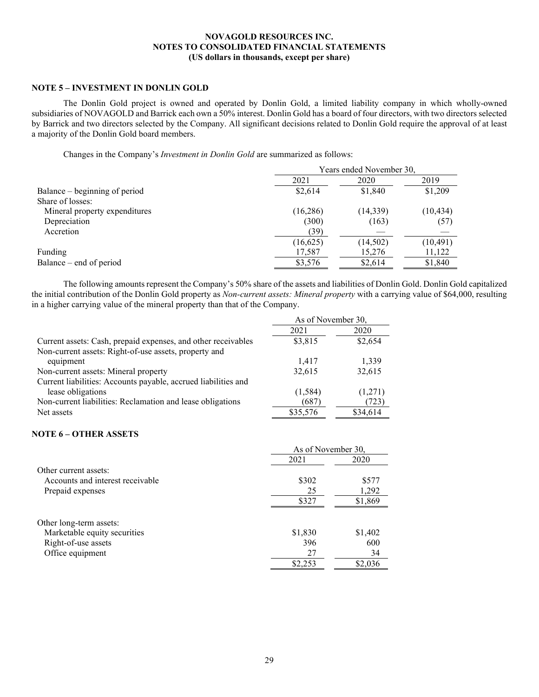#### **NOTE 5 – INVESTMENT IN DONLIN GOLD**

The Donlin Gold project is owned and operated by Donlin Gold, a limited liability company in which wholly-owned subsidiaries of NOVAGOLD and Barrick each own a 50% interest. Donlin Gold has a board of four directors, with two directors selected by Barrick and two directors selected by the Company. All significant decisions related to Donlin Gold require the approval of at least a majority of the Donlin Gold board members.

Changes in the Company's *Investment in Donlin Gold* are summarized as follows:

|                               |           | Years ended November 30, |           |  |  |
|-------------------------------|-----------|--------------------------|-----------|--|--|
|                               | 2021      | 2020                     | 2019      |  |  |
| Balance – beginning of period | \$2,614   | \$1,840                  | \$1,209   |  |  |
| Share of losses:              |           |                          |           |  |  |
| Mineral property expenditures | (16, 286) | (14, 339)                | (10, 434) |  |  |
| Depreciation                  | (300)     | (163)                    | (57)      |  |  |
| Accretion                     | (39)      |                          |           |  |  |
|                               | (16,625)  | (14,502)                 | (10, 491) |  |  |
| Funding                       | 17,587    | 15,276                   | 11,122    |  |  |
| Balance – end of period       | \$3,576   | \$2,614                  | \$1,840   |  |  |

The following amounts represent the Company's 50% share of the assets and liabilities of Donlin Gold. Donlin Gold capitalized the initial contribution of the Donlin Gold property as *Non-current assets: Mineral property* with a carrying value of \$64,000, resulting in a higher carrying value of the mineral property than that of the Company.

|                                                                | As of November 30, |          |
|----------------------------------------------------------------|--------------------|----------|
|                                                                | 2021               | 2020     |
| Current assets: Cash, prepaid expenses, and other receivables  | \$3,815            | \$2,654  |
| Non-current assets: Right-of-use assets, property and          |                    |          |
| equipment                                                      | 1,417              | 1,339    |
| Non-current assets: Mineral property                           | 32,615             | 32,615   |
| Current liabilities: Accounts payable, accrued liabilities and |                    |          |
| lease obligations                                              | (1,584)            | (1,271)  |
| Non-current liabilities: Reclamation and lease obligations     | (687)              | (723)    |
| Net assets                                                     | \$35,576           | \$34,614 |

#### **NOTE 6 – OTHER ASSETS**

|                                  | As of November 30, |         |  |
|----------------------------------|--------------------|---------|--|
|                                  | 2021               | 2020    |  |
| Other current assets:            |                    |         |  |
| Accounts and interest receivable | \$302              | \$577   |  |
| Prepaid expenses                 | 25                 | 1,292   |  |
|                                  | \$327              | \$1,869 |  |
| Other long-term assets:          |                    |         |  |
| Marketable equity securities     | \$1,830            | \$1,402 |  |
| Right-of-use assets              | 396                | 600     |  |
| Office equipment                 | 27                 | 34      |  |
|                                  | \$2,253            | \$2,036 |  |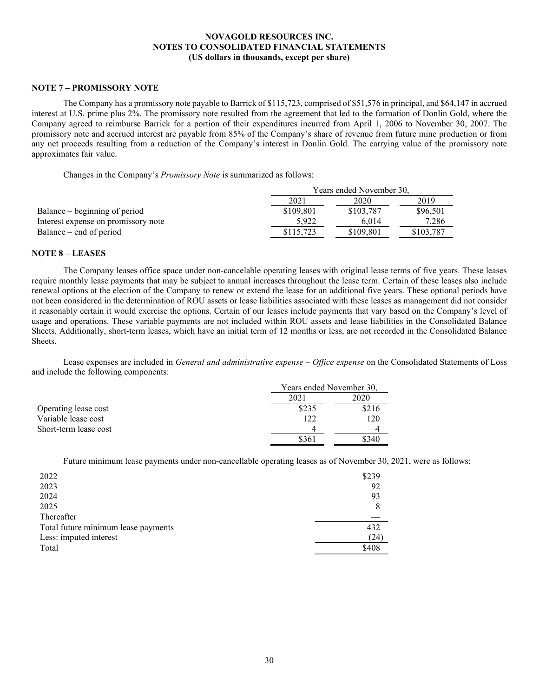#### **NOTE 7 – PROMISSORY NOTE**

The Company has a promissory note payable to Barrick of \$115,723, comprised of \$51,576 in principal, and \$64,147 in accrued interest at U.S. prime plus 2%. The promissory note resulted from the agreement that led to the formation of Donlin Gold, where the Company agreed to reimburse Barrick for a portion of their expenditures incurred from April 1, 2006 to November 30, 2007. The promissory note and accrued interest are payable from 85% of the Company's share of revenue from future mine production or from any net proceeds resulting from a reduction of the Company's interest in Donlin Gold. The carrying value of the promissory note approximates fair value.

Changes in the Company's *Promissory Note* is summarized as follows:

|                                     | Years ended November 30. |           |           |
|-------------------------------------|--------------------------|-----------|-----------|
|                                     | 2021                     | 2019      |           |
| Balance – beginning of period       | \$109.801                | \$103,787 | \$96,501  |
| Interest expense on promissory note | 5.922                    | 6.014     | 7,286     |
| Balance – end of period             | \$115,723                | \$109.801 | \$103,787 |

#### **NOTE 8 – LEASES**

The Company leases office space under non-cancelable operating leases with original lease terms of five years. These leases require monthly lease payments that may be subject to annual increases throughout the lease term. Certain of these leases also include renewal options at the election of the Company to renew or extend the lease for an additional five years. These optional periods have not been considered in the determination of ROU assets or lease liabilities associated with these leases as management did not consider it reasonably certain it would exercise the options. Certain of our leases include payments that vary based on the Company's level of usage and operations. These variable payments are not included within ROU assets and lease liabilities in the Consolidated Balance Sheets. Additionally, short-term leases, which have an initial term of 12 months or less, are not recorded in the Consolidated Balance Sheets.

Lease expenses are included in *General and administrative expense – Office expense* on the Consolidated Statements of Loss and include the following components:

|                       |       | Years ended November 30, |  |  |
|-----------------------|-------|--------------------------|--|--|
|                       | 202   | 2020                     |  |  |
| Operating lease cost  | \$235 | \$216                    |  |  |
| Variable lease cost   | 122   | 120                      |  |  |
| Short-term lease cost |       |                          |  |  |
|                       | \$36  | \$340                    |  |  |

Future minimum lease payments under non-cancellable operating leases as of November 30, 2021, were as follows:

| 2022                                | \$239 |
|-------------------------------------|-------|
| 2023                                | 92    |
| 2024                                | 93    |
| 2025                                | 8     |
| Thereafter                          |       |
| Total future minimum lease payments | 432   |
| Less: imputed interest              | (24)  |
| Total                               | \$408 |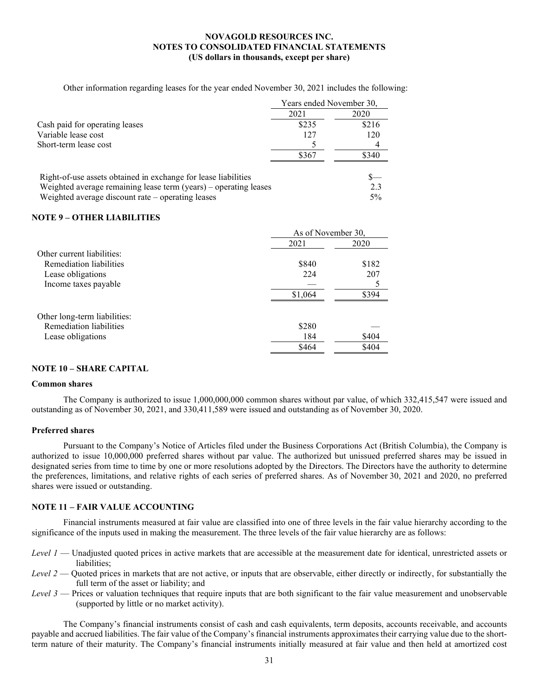Other information regarding leases for the year ended November 30, 2021 includes the following:

|                                                                  | Years ended November 30, |       |
|------------------------------------------------------------------|--------------------------|-------|
|                                                                  | 2021                     | 2020  |
| Cash paid for operating leases                                   | \$235                    | \$216 |
| Variable lease cost                                              | 127                      | 120   |
| Short-term lease cost                                            |                          |       |
|                                                                  | \$367                    | \$340 |
| Right-of-use assets obtained in exchange for lease liabilities   |                          |       |
| Weighted average remaining lease term (years) - operating leases |                          | 2.3   |
| Weighted average discount rate $-$ operating leases              |                          | $5\%$ |

#### **NOTE 9 – OTHER LIABILITIES**

|                              |         | As of November 30, |  |  |
|------------------------------|---------|--------------------|--|--|
|                              | 2021    | 2020               |  |  |
| Other current liabilities:   |         |                    |  |  |
| Remediation liabilities      | \$840   | \$182              |  |  |
| Lease obligations            | 224     | 207                |  |  |
| Income taxes payable         |         |                    |  |  |
|                              | \$1,064 | \$394              |  |  |
| Other long-term liabilities: |         |                    |  |  |
| Remediation liabilities      | \$280   |                    |  |  |
| Lease obligations            | 184     | \$404              |  |  |
|                              | \$464   | \$404              |  |  |
|                              |         |                    |  |  |

#### **NOTE 10 – SHARE CAPITAL**

#### **Common shares**

The Company is authorized to issue 1,000,000,000 common shares without par value, of which 332,415,547 were issued and outstanding as of November 30, 2021, and 330,411,589 were issued and outstanding as of November 30, 2020.

#### **Preferred shares**

Pursuant to the Company's Notice of Articles filed under the Business Corporations Act (British Columbia), the Company is authorized to issue 10,000,000 preferred shares without par value. The authorized but unissued preferred shares may be issued in designated series from time to time by one or more resolutions adopted by the Directors. The Directors have the authority to determine the preferences, limitations, and relative rights of each series of preferred shares. As of November 30, 2021 and 2020, no preferred shares were issued or outstanding.

#### **NOTE 11 – FAIR VALUE ACCOUNTING**

Financial instruments measured at fair value are classified into one of three levels in the fair value hierarchy according to the significance of the inputs used in making the measurement. The three levels of the fair value hierarchy are as follows:

- *Level 1* Unadjusted quoted prices in active markets that are accessible at the measurement date for identical, unrestricted assets or liabilities;
- *Level 2* Quoted prices in markets that are not active, or inputs that are observable, either directly or indirectly, for substantially the full term of the asset or liability; and
- *Level 3* Prices or valuation techniques that require inputs that are both significant to the fair value measurement and unobservable (supported by little or no market activity).

The Company's financial instruments consist of cash and cash equivalents, term deposits, accounts receivable, and accounts payable and accrued liabilities. The fair value of the Company's financial instruments approximates their carrying value due to the short‐ term nature of their maturity. The Company's financial instruments initially measured at fair value and then held at amortized cost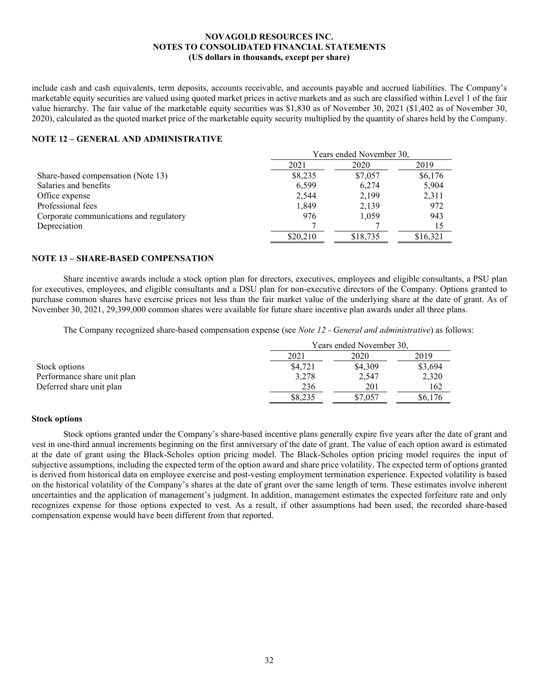include cash and cash equivalents, term deposits, accounts receivable, and accounts payable and accrued liabilities. The Company's marketable equity securities are valued using quoted market prices in active markets and as such are classified within Level 1 of the fair value hierarchy. The fair value of the marketable equity securities was \$1,830 as of November 30, 2021 (\$1,402 as of November 30, 2020), calculated as the quoted market price of the marketable equity security multiplied by the quantity of shares held by the Company.

#### **NOTE 12 – GENERAL AND ADMINISTRATIVE**

|                                         | Years ended November 30, |          |          |
|-----------------------------------------|--------------------------|----------|----------|
|                                         | 2021                     | 2020     | 2019     |
| Share-based compensation (Note 13)      | \$8,235                  | \$7,057  | \$6,176  |
| Salaries and benefits                   | 6,599                    | 6.274    | 5,904    |
| Office expense                          | 2,544                    | 2,199    | 2,311    |
| Professional fees                       | 1,849                    | 2,139    | 972      |
| Corporate communications and regulatory | 976                      | 1,059    | 943      |
| Depreciation                            |                          |          | 15       |
|                                         | \$20,210                 | \$18,735 | \$16,321 |

#### **NOTE 13 – SHARE-BASED COMPENSATION**

Share incentive awards include a stock option plan for directors, executives, employees and eligible consultants, a PSU plan for executives, employees, and eligible consultants and a DSU plan for non-executive directors of the Company. Options granted to purchase common shares have exercise prices not less than the fair market value of the underlying share at the date of grant. As of November 30, 2021, 29,399,000 common shares were available for future share incentive plan awards under all three plans.

The Company recognized share-based compensation expense (see *Note 12 - General and administrative*) as follows:

|                             | Years ended November 30, |         |         |
|-----------------------------|--------------------------|---------|---------|
|                             | 2021                     | 2020    | 2019    |
| Stock options               | \$4,721                  | \$4,309 | \$3,694 |
| Performance share unit plan | 3,278                    | 2,547   | 2,320   |
| Deferred share unit plan    | 236                      | 201     | 162     |
|                             | \$8,235                  | \$7.057 | \$6,176 |

#### **Stock options**

Stock options granted under the Company's share-based incentive plans generally expire five years after the date of grant and vest in one-third annual increments beginning on the first anniversary of the date of grant. The value of each option award is estimated at the date of grant using the Black-Scholes option pricing model. The Black-Scholes option pricing model requires the input of subjective assumptions, including the expected term of the option award and share price volatility. The expected term of options granted is derived from historical data on employee exercise and post-vesting employment termination experience. Expected volatility is based on the historical volatility of the Company's shares at the date of grant over the same length of term. These estimates involve inherent uncertainties and the application of management's judgment. In addition, management estimates the expected forfeiture rate and only recognizes expense for those options expected to vest. As a result, if other assumptions had been used, the recorded share-based compensation expense would have been different from that reported.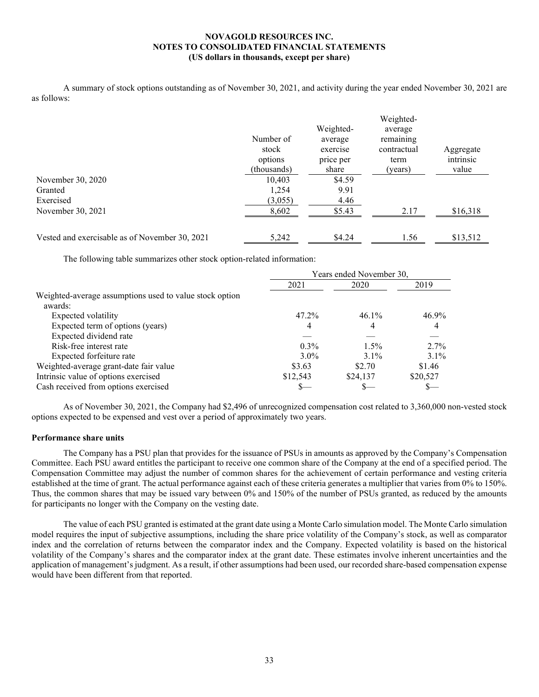A summary of stock options outstanding as of November 30, 2021, and activity during the year ended November 30, 2021 are as follows:

|                                                |                  |                       | Weighted-            |                        |
|------------------------------------------------|------------------|-----------------------|----------------------|------------------------|
|                                                | Number of        | Weighted-<br>average  | average<br>remaining |                        |
|                                                | stock<br>options | exercise<br>price per | contractual<br>term  | Aggregate<br>intrinsic |
|                                                | (thousands)      | share                 | (years)              | value                  |
| November 30, 2020                              | 10,403           | \$4.59                |                      |                        |
| Granted                                        | 1,254            | 9.91                  |                      |                        |
| Exercised                                      | (3,055)          | 4.46                  |                      |                        |
| November 30, 2021                              | 8,602            | \$5.43                | 2.17                 | \$16,318               |
| Vested and exercisable as of November 30, 2021 | 5,242            | \$4.24                | 1.56                 | \$13,512               |

The following table summarizes other stock option-related information:

|                                                         | Years ended November 30, |          |          |
|---------------------------------------------------------|--------------------------|----------|----------|
|                                                         | 2021                     | 2020     | 2019     |
| Weighted-average assumptions used to value stock option |                          |          |          |
| awards:                                                 |                          |          |          |
| Expected volatility                                     | $47.2\%$                 | $46.1\%$ | 46.9%    |
| Expected term of options (years)                        | 4                        |          |          |
| Expected dividend rate                                  |                          |          |          |
| Risk-free interest rate                                 | $0.3\%$                  | $1.5\%$  | $2.7\%$  |
| Expected forfeiture rate                                | $3.0\%$                  | $3.1\%$  | $3.1\%$  |
| Weighted-average grant-date fair value                  | \$3.63                   | \$2.70   | \$1.46   |
| Intrinsic value of options exercised                    | \$12,543                 | \$24,137 | \$20,527 |
| Cash received from options exercised                    |                          |          |          |

As of November 30, 2021, the Company had \$2,496 of unrecognized compensation cost related to 3,360,000 non-vested stock options expected to be expensed and vest over a period of approximately two years.

#### **Performance share units**

The Company has a PSU plan that provides for the issuance of PSUs in amounts as approved by the Company's Compensation Committee. Each PSU award entitles the participant to receive one common share of the Company at the end of a specified period. The Compensation Committee may adjust the number of common shares for the achievement of certain performance and vesting criteria established at the time of grant. The actual performance against each of these criteria generates a multiplier that varies from 0% to 150%. Thus, the common shares that may be issued vary between 0% and 150% of the number of PSUs granted, as reduced by the amounts for participants no longer with the Company on the vesting date.

The value of each PSU granted is estimated at the grant date using a Monte Carlo simulation model. The Monte Carlo simulation model requires the input of subjective assumptions, including the share price volatility of the Company's stock, as well as comparator index and the correlation of returns between the comparator index and the Company. Expected volatility is based on the historical volatility of the Company's shares and the comparator index at the grant date. These estimates involve inherent uncertainties and the application of management's judgment. As a result, if other assumptions had been used, our recorded share-based compensation expense would have been different from that reported.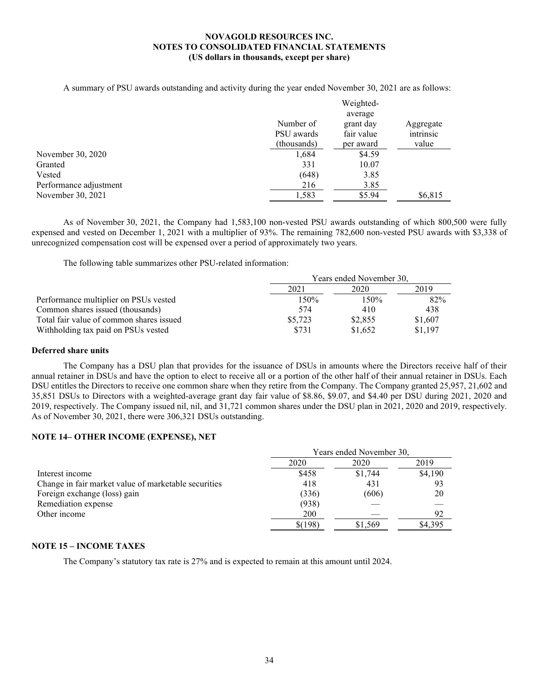A summary of PSU awards outstanding and activity during the year ended November 30, 2021 are as follows:

|                        |             | Weighted-  |           |
|------------------------|-------------|------------|-----------|
|                        |             | average    |           |
|                        | Number of   | grant day  | Aggregate |
|                        | PSU awards  | fair value | intrinsic |
|                        | (thousands) | per award  | value     |
| November 30, 2020      | 1,684       | \$4.59     |           |
| Granted                | 331         | 10.07      |           |
| Vested                 | (648)       | 3.85       |           |
| Performance adjustment | 216         | 3.85       |           |
| November 30, 2021      | 1,583       | \$5.94     | \$6,815   |

As of November 30, 2021, the Company had 1,583,100 non-vested PSU awards outstanding of which 800,500 were fully expensed and vested on December 1, 2021 with a multiplier of 93%. The remaining 782,600 non-vested PSU awards with \$3,338 of unrecognized compensation cost will be expensed over a period of approximately two years.

The following table summarizes other PSU-related information:

|                                          | Years ended November 30. |         |         |
|------------------------------------------|--------------------------|---------|---------|
|                                          | 2021                     | 2020    | 2019    |
| Performance multiplier on PSUs vested    | 150%                     | 150%    | 82%     |
| Common shares issued (thousands)         | 574                      | 410     | 438     |
| Total fair value of common shares issued | \$5,723                  | \$2,855 | \$1,607 |
| Withholding tax paid on PSUs vested      | \$731                    | \$1,652 | \$1.197 |

#### **Deferred share units**

The Company has a DSU plan that provides for the issuance of DSUs in amounts where the Directors receive half of their annual retainer in DSUs and have the option to elect to receive all or a portion of the other half of their annual retainer in DSUs. Each DSU entitles the Directors to receive one common share when they retire from the Company. The Company granted 25,957, 21,602 and 35,851 DSUs to Directors with a weighted-average grant day fair value of \$8.86, \$9.07, and \$4.40 per DSU during 2021, 2020 and 2019, respectively. The Company issued nil, nil, and 31,721 common shares under the DSU plan in 2021, 2020 and 2019, respectively. As of November 30, 2021, there were 306,321 DSUs outstanding.

#### **NOTE 14– OTHER INCOME (EXPENSE), NET**

|                                                      | Years ended November 30, |         |         |
|------------------------------------------------------|--------------------------|---------|---------|
|                                                      | 2020                     | 2020    | 2019    |
| Interest income                                      | \$458                    | \$1,744 | \$4,190 |
| Change in fair market value of marketable securities | 418                      | 431     | 93      |
| Foreign exchange (loss) gain                         | (336)                    | (606)   | 20      |
| Remediation expense                                  | (938)                    |         |         |
| Other income                                         | 200                      |         | 92      |
|                                                      | \$(198)                  | \$1,569 | \$4.395 |

#### **NOTE 15 – INCOME TAXES**

The Company's statutory tax rate is 27% and is expected to remain at this amount until 2024.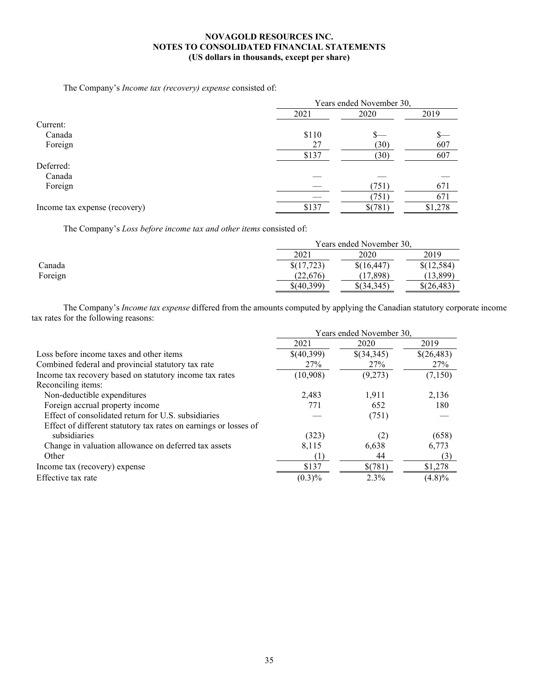The Company's *Income tax (recovery) expense* consisted of:

|                               | Years ended November 30, |         |         |
|-------------------------------|--------------------------|---------|---------|
|                               | 2021                     | 2020    | 2019    |
| Current:                      |                          |         |         |
| Canada                        | \$110                    | $S-$    |         |
| Foreign                       | 27                       | (30)    | 607     |
|                               | \$137                    | (30)    | 607     |
| Deferred:                     |                          |         |         |
| Canada                        |                          |         |         |
| Foreign                       |                          | (751)   | 671     |
|                               |                          | 751     | 671     |
| Income tax expense (recovery) | \$137                    | \$(781) | \$1,278 |

The Company's *Loss before income tax and other items* consisted of:

|         |            | Years ended November 30, |             |  |
|---------|------------|--------------------------|-------------|--|
|         | 2021       | 2020                     | 2019        |  |
| Canada  | \$(17,723) | \$(16,447)               | \$(12, 584) |  |
| Foreign | (22.676)   | (17, 898)                | (13, 899)   |  |
|         | \$(40,399) | $\{(34,345)$             | \$(26, 483) |  |

The Company's *Income tax expense* differed from the amounts computed by applying the Canadian statutory corporate income tax rates for the following reasons:

|                                                                  | Years ended November 30. |            |            |
|------------------------------------------------------------------|--------------------------|------------|------------|
|                                                                  | 2021                     | 2020       | 2019       |
| Loss before income taxes and other items                         | \$(40,399)               | \$(34,345) | \$(26,483) |
| Combined federal and provincial statutory tax rate               | 27%                      | <b>27%</b> | 27%        |
| Income tax recovery based on statutory income tax rates          | (10,908)                 | (9,273)    | (7,150)    |
| Reconciling items:                                               |                          |            |            |
| Non-deductible expenditures                                      | 2,483                    | 1,911      | 2,136      |
| Foreign accrual property income                                  | 771                      | 652        | 180        |
| Effect of consolidated return for U.S. subsidiaries              |                          | (751)      |            |
| Effect of different statutory tax rates on earnings or losses of |                          |            |            |
| subsidiaries                                                     | (323)                    | (2)        | (658)      |
| Change in valuation allowance on deferred tax assets             | 8.115                    | 6,638      | 6.773      |
| Other                                                            | (1)                      | 44         | (3)        |
| Income tax (recovery) expense                                    | \$137                    | \$(781)    | \$1,278    |
| Effective tax rate                                               | $(0.3)\%$                | 2.3%       | $(4.8)\%$  |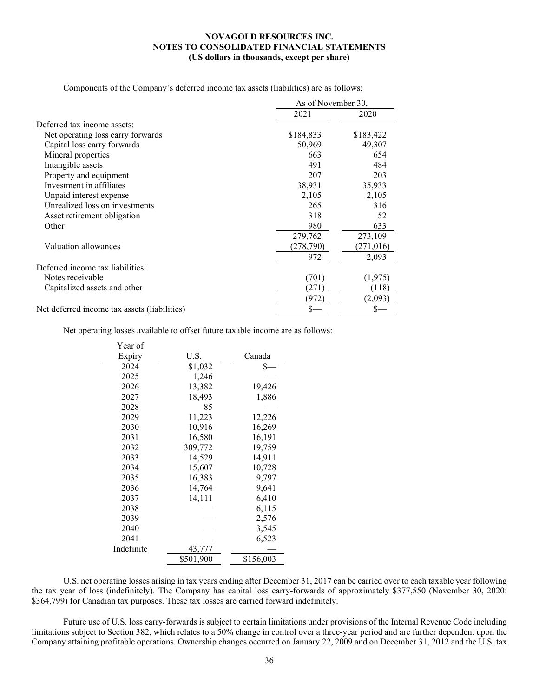Components of the Company's deferred income tax assets (liabilities) are as follows:

|                                              |            | As of November 30, |  |
|----------------------------------------------|------------|--------------------|--|
|                                              | 2021       | 2020               |  |
| Deferred tax income assets:                  |            |                    |  |
| Net operating loss carry forwards            | \$184,833  | \$183,422          |  |
| Capital loss carry forwards                  | 50,969     | 49,307             |  |
| Mineral properties                           | 663        | 654                |  |
| Intangible assets                            | 491        | 484                |  |
| Property and equipment                       | 207        | 203                |  |
| Investment in affiliates                     | 38,931     | 35,933             |  |
| Unpaid interest expense                      | 2,105      | 2,105              |  |
| Unrealized loss on investments               | 265        | 316                |  |
| Asset retirement obligation                  | 318        | 52                 |  |
| Other                                        | 980        | 633                |  |
|                                              | 279,762    | 273,109            |  |
| Valuation allowances                         | (278, 790) | (271, 016)         |  |
|                                              | 972        | 2,093              |  |
| Deferred income tax liabilities:             |            |                    |  |
| Notes receivable                             | (701)      | (1, 975)           |  |
| Capitalized assets and other                 | (271)      | (118)              |  |
|                                              | (972)      | (2,093)            |  |
| Net deferred income tax assets (liabilities) |            |                    |  |

Net operating losses available to offset future taxable income are as follows:

| Year of    |           |           |
|------------|-----------|-----------|
| Expiry     | U.S.      | Canada    |
| 2024       | \$1,032   | \$        |
| 2025       | 1,246     |           |
| 2026       | 13,382    | 19,426    |
| 2027       | 18,493    | 1,886     |
| 2028       | 85        |           |
| 2029       | 11,223    | 12,226    |
| 2030       | 10,916    | 16,269    |
| 2031       | 16,580    | 16,191    |
| 2032       | 309,772   | 19,759    |
| 2033       | 14,529    | 14,911    |
| 2034       | 15,607    | 10,728    |
| 2035       | 16,383    | 9,797     |
| 2036       | 14,764    | 9,641     |
| 2037       | 14,111    | 6,410     |
| 2038       |           | 6,115     |
| 2039       |           | 2,576     |
| 2040       |           | 3,545     |
| 2041       |           | 6,523     |
| Indefinite | 43,777    |           |
|            | \$501,900 | \$156,003 |

U.S. net operating losses arising in tax years ending after December 31, 2017 can be carried over to each taxable year following the tax year of loss (indefinitely). The Company has capital loss carry-forwards of approximately \$377,550 (November 30, 2020: \$364,799) for Canadian tax purposes. These tax losses are carried forward indefinitely.

Future use of U.S. loss carry-forwards is subject to certain limitations under provisions of the Internal Revenue Code including limitations subject to Section 382, which relates to a 50% change in control over a three-year period and are further dependent upon the Company attaining profitable operations. Ownership changes occurred on January 22, 2009 and on December 31, 2012 and the U.S. tax